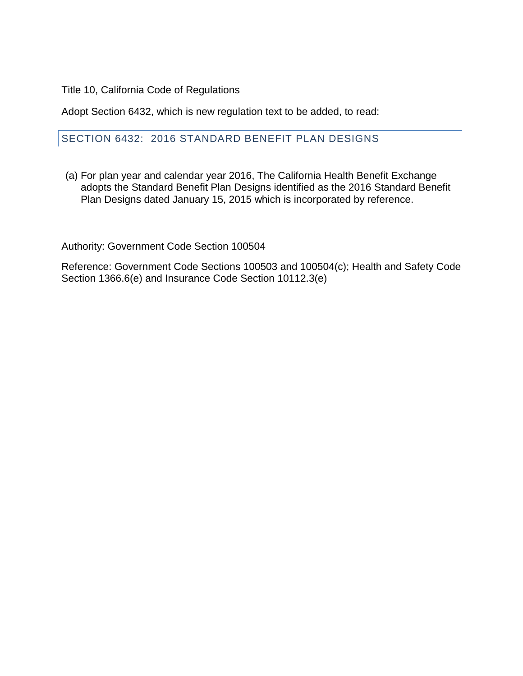Title 10, California Code of Regulations

Adopt Section 6432, which is new regulation text to be added, to read:

#### SECTION 6432: 2016 STANDARD BENEFIT PLAN DESIGNS

(a) For plan year and calendar year 2016, The California Health Benefit Exchange adopts the Standard Benefit Plan Designs identified as the 2016 Standard Benefit Plan Designs dated January 15, 2015 which is incorporated by reference.

Authority: Government Code Section 100504

Reference: Government Code Sections 100503 and 100504(c); Health and Safety Code Section 1366.6(e) and Insurance Code Section 10112.3(e)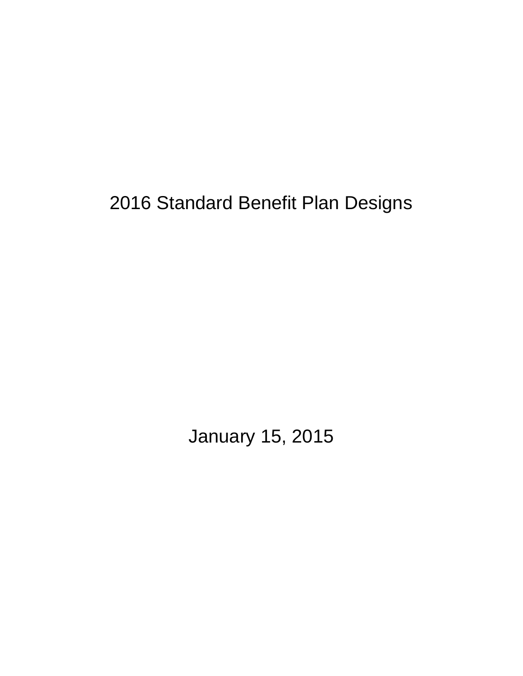2016 Standard Benefit Plan Designs

January 15, 2015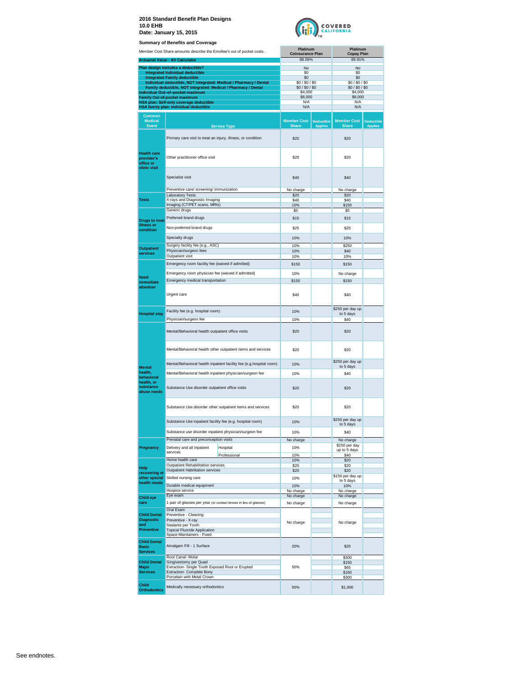

|                                                               | <b>Summary of Benefits and Coverage</b>                                        |                                                                     |                                     |                                     |                                |                                     |
|---------------------------------------------------------------|--------------------------------------------------------------------------------|---------------------------------------------------------------------|-------------------------------------|-------------------------------------|--------------------------------|-------------------------------------|
|                                                               | Member Cost Share amounts describe the Enrollee's out of pocket costs.         |                                                                     | Platinum<br><b>Coinsurance Plan</b> |                                     | Platinum<br><b>Copay Plan</b>  |                                     |
|                                                               | <b>Actuarial Value - AV Calculator</b>                                         |                                                                     | 88.59%                              |                                     | 89.91%                         |                                     |
|                                                               | Plan design includes a deductible?                                             |                                                                     | No                                  |                                     | No                             |                                     |
|                                                               | Integrated Individual deductible<br><b>Integrated Family deductible</b>        |                                                                     | S0<br>\$0                           |                                     | S0<br>\$0                      |                                     |
|                                                               | Family deductible, NOT integrated: Medical / Pharmacy / Dental                 | Individual deductible, NOT integrated: Medical / Pharmacy / Dental  | \$0/\$0/\$0<br>\$0/\$0/\$0          |                                     | \$0/\$0/\$0/\$0<br>\$0/\$0/\$0 |                                     |
|                                                               | Individual Out-of-pocket maximum                                               |                                                                     | \$4,000                             |                                     | \$4,000                        |                                     |
|                                                               | <b>Family Out-of-pocket maximum</b><br>HSA plan: Self-only coverage deductible |                                                                     | \$8,000<br>N/A                      |                                     | \$8,000<br>N/A                 |                                     |
|                                                               | HSA family plan: Individual deductible                                         |                                                                     | N/A                                 |                                     | N/A                            |                                     |
| <b>Common</b><br><b>Medical</b>                               |                                                                                |                                                                     | <b>Member Cost</b>                  |                                     | <b>Member Cost</b>             |                                     |
| <b>Event</b>                                                  |                                                                                | <b>Service Type</b>                                                 | <b>Share</b>                        | <b>Deductible</b><br><b>Applies</b> | <b>Share</b>                   | <b>Deductible</b><br><b>Applies</b> |
|                                                               | Primary care visit to treat an injury, illness, or condition                   |                                                                     | \$20                                |                                     | \$20                           |                                     |
| <b>Health care</b><br>provider's<br>office or<br>clinic visit | Other practitioner office visit                                                |                                                                     | \$20                                |                                     | \$20                           |                                     |
|                                                               | Specialist visit                                                               |                                                                     | \$40                                |                                     | \$40                           |                                     |
|                                                               | Preventive care/ screening/ immunization<br><b>Laboratory Tests</b>            |                                                                     | No charge<br>\$20                   |                                     | No charge<br>\$20              |                                     |
| <b>Tests</b>                                                  | X-rays and Diagnostic Imaging                                                  |                                                                     | \$40                                |                                     | \$40                           |                                     |
|                                                               | Imaging (CT/PET scans, MRIs)<br>Generic drugs                                  |                                                                     | 10%<br>\$5                          |                                     | \$150<br>\$5                   |                                     |
| <b>Drugs to treat</b>                                         | Preferred brand drugs                                                          |                                                                     | \$15                                |                                     | \$15                           |                                     |
| illness or                                                    | Non-preferred brand drugs                                                      |                                                                     | \$25                                |                                     | \$25                           |                                     |
| condition                                                     |                                                                                |                                                                     |                                     |                                     |                                |                                     |
|                                                               | Specialty drugs                                                                |                                                                     | 10%                                 |                                     | 10%                            |                                     |
| <b>Outpatient</b>                                             | Surgery facility fee (e.g., ASC)<br>Physician/surgeon fees                     |                                                                     | 10%<br>10%                          |                                     | \$250<br>\$40                  |                                     |
| services                                                      | Outpatient visit                                                               |                                                                     | 10%                                 |                                     | 10%                            |                                     |
|                                                               | Emergency room facility fee (waived if admitted)                               |                                                                     | \$150                               |                                     | \$150                          |                                     |
|                                                               | Emergency room physician fee (waived if admitted)                              |                                                                     | 10%                                 |                                     | No charge                      |                                     |
| <b>Need</b><br>immediate                                      | Emergency medical transportation                                               |                                                                     | \$150                               |                                     | \$150                          |                                     |
| attention                                                     | Urgent care                                                                    |                                                                     | \$40                                |                                     | \$40                           |                                     |
|                                                               | Facility fee (e.g. hospital room)                                              |                                                                     | 10%                                 |                                     | \$250 per day up               |                                     |
| <b>Hospital stay</b>                                          | Physician/surgeon fee                                                          |                                                                     | 10%                                 |                                     | to 5 days<br>\$40              |                                     |
|                                                               | Mental/Behavioral health outpatient office visits                              |                                                                     | \$20                                |                                     | \$20                           |                                     |
|                                                               |                                                                                | Mental/Behavioral health other outpatient items and services        | \$20                                |                                     | \$20                           |                                     |
| <b>Mental</b>                                                 |                                                                                | Mental/Behavioral health inpatient facility fee (e.g.hospital room) | 10%                                 |                                     | \$250 per day up<br>to 5 days  |                                     |
| health,                                                       | Mental/Behavioral health inpatient physician/surgeon fee                       |                                                                     | 10%                                 |                                     | \$40                           |                                     |
| behavioral<br>health, or<br>substance<br>abuse needs          | Substance Use disorder outpatient office visits                                |                                                                     | \$20                                |                                     | \$20                           |                                     |
|                                                               |                                                                                | Substance Use disorder other outpatient items and services          | \$20                                |                                     | \$20                           |                                     |
|                                                               | Substance Use inpatient facility fee (e.g. hospital room)                      |                                                                     | 10%                                 |                                     | \$250 per day up<br>to 5 days  |                                     |
|                                                               | Substance use disorder inpatient physician/surgeon fee                         |                                                                     | 10%                                 |                                     | \$40                           |                                     |
|                                                               | Prenatal care and preconception visits                                         |                                                                     | No charge                           |                                     | No charge                      |                                     |
| Pregnancy                                                     | Delivery and all inpatient<br>services                                         | Hospital                                                            | 10%                                 |                                     | \$250 per day<br>up to 5 days  |                                     |
|                                                               | Home health care                                                               | Professional                                                        | 10%<br>10%                          |                                     | \$40<br>\$20                   |                                     |
| Help                                                          | Outpatient Rehabilitation services                                             |                                                                     | \$20                                |                                     | \$20                           |                                     |
| recovering or                                                 | <b>Outpatient Habilitation services</b>                                        |                                                                     | \$20                                |                                     | \$20<br>\$150 per day up       |                                     |
| other special<br>health needs                                 | Skilled nursing care                                                           |                                                                     | 10%                                 |                                     | to 5 days                      |                                     |
|                                                               | Durable medical equipment<br>Hospice service                                   |                                                                     | 10%<br>No charge                    |                                     | 10%<br>No charge               |                                     |
| <b>Child eye</b>                                              | Eye exam                                                                       |                                                                     | No charge                           |                                     | No charge                      |                                     |
| care                                                          | 1 pair of glasses per year (or contact lenses in lieu of glasses)              |                                                                     | No charge                           |                                     | No charge                      |                                     |
| <b>Child Dental</b>                                           | Oral Exam<br>Preventive - Cleaning                                             |                                                                     |                                     |                                     |                                |                                     |
| <b>Diagnostic</b>                                             | Preventive - X-ray                                                             |                                                                     | No charge                           |                                     | No charge                      |                                     |
| and<br><b>Preventive</b>                                      | Sealants per Tooth<br><b>Topical Fluoride Application</b>                      |                                                                     |                                     |                                     |                                |                                     |
|                                                               | Space Maintainers - Fixed                                                      |                                                                     |                                     |                                     |                                |                                     |
| <b>Child Dental</b><br><b>Basic</b><br><b>Services</b>        | Amalgam Fill - 1 Surface                                                       |                                                                     | 20%                                 |                                     | \$25                           |                                     |
| <b>Child Dental</b>                                           | Root Canal- Molar<br>Gingivectomy per Quad                                     |                                                                     |                                     |                                     | \$300<br>\$150                 |                                     |
| Major                                                         | Extraction- Single Tooth Exposed Root or Erupted                               |                                                                     | 50%                                 |                                     | \$65                           |                                     |
| <b>Services</b>                                               | Extraction- Complete Bony<br>Porcelain with Metal Crown                        |                                                                     |                                     |                                     | \$160<br>\$300                 |                                     |

**Orthodontics** Medically necessary orthodontics **50%** 50% \$1,000

**Child**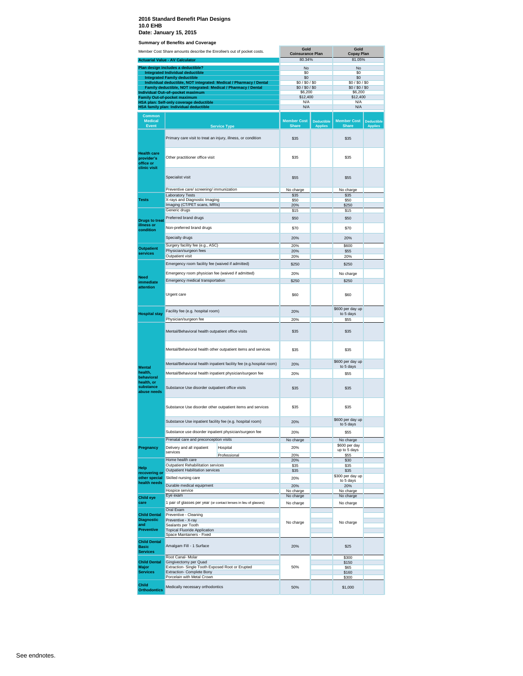|                                                        | Member Cost Share amounts describe the Enrollee's out of pocket costs.                          |                                                                     | Gold                               |                                     | Gold                                  |                                     |
|--------------------------------------------------------|-------------------------------------------------------------------------------------------------|---------------------------------------------------------------------|------------------------------------|-------------------------------------|---------------------------------------|-------------------------------------|
|                                                        | <b>Actuarial Value - AV Calculator</b>                                                          |                                                                     | <b>Coinsurance Plan</b><br>80.34%  |                                     | <b>Copay Plan</b><br>81.05%           |                                     |
|                                                        | Plan design includes a deductible?                                                              |                                                                     | No                                 |                                     | No                                    |                                     |
|                                                        | <b>Integrated Individual deductible</b>                                                         |                                                                     | \$0                                |                                     | \$0                                   |                                     |
|                                                        | <b>Integrated Family deductible</b>                                                             | Individual deductible, NOT integrated: Medical / Pharmacy / Dental  | \$0<br>\$0/\$0/\$0                 |                                     | \$0<br>\$0/\$0/\$0                    |                                     |
|                                                        | Family deductible, NOT integrated: Medical / Pharmacy / Dental                                  |                                                                     | \$0/\$0/\$0                        |                                     | \$0/\$0/\$0                           |                                     |
|                                                        | Individual Out-of-pocket maximum<br><b>Family Out-of-pocket maximum</b>                         |                                                                     | \$6,200<br>\$12,400                |                                     | \$6,200<br>\$12,400                   |                                     |
|                                                        | HSA plan: Self-only coverage deductible                                                         |                                                                     | N/A                                |                                     | N/A                                   |                                     |
|                                                        | HSA family plan: Individual deductible                                                          |                                                                     | N/A                                |                                     | N/A                                   |                                     |
| <b>Common</b><br><b>Medical</b><br><b>Event</b>        |                                                                                                 | <b>Service Type</b>                                                 | <b>Member Cost</b><br><b>Share</b> | <b>Deductible</b><br><b>Applies</b> | <b>Member Cost</b><br><b>Share</b>    | <b>Deductible</b><br><b>Applies</b> |
|                                                        |                                                                                                 |                                                                     |                                    |                                     |                                       |                                     |
| <b>Health care</b><br>provider's                       | Primary care visit to treat an injury, illness, or condition<br>Other practitioner office visit |                                                                     | \$35<br><b>\$35</b>                |                                     | <b>\$35</b><br>\$35                   |                                     |
| office or<br>clinic visit                              | Specialist visit                                                                                |                                                                     | \$55                               |                                     | \$55                                  |                                     |
|                                                        |                                                                                                 |                                                                     |                                    |                                     |                                       |                                     |
|                                                        | Preventive care/ screening/ immunization<br><b>Laboratory Tests</b>                             |                                                                     | No charge<br>\$35                  |                                     | No charge<br>\$35                     |                                     |
| <b>Tests</b>                                           | X-rays and Diagnostic Imaging                                                                   |                                                                     | \$50                               |                                     | \$50                                  |                                     |
|                                                        | Imaging (CT/PET scans, MRIs)<br>Generic drugs                                                   |                                                                     | 20%<br>\$15                        |                                     | \$250<br>\$15                         |                                     |
|                                                        | Preferred brand drugs                                                                           |                                                                     | \$50                               |                                     | \$50                                  |                                     |
| <b>Drugs to treat</b><br>illness or<br>condition       | Non-preferred brand drugs                                                                       |                                                                     | \$70                               |                                     | \$70                                  |                                     |
|                                                        | Specialty drugs                                                                                 |                                                                     | 20%                                |                                     | 20%                                   |                                     |
|                                                        | Surgery facility fee (e.g., ASC)                                                                |                                                                     | 20%                                |                                     | \$600                                 |                                     |
| <b>Outpatient</b><br>services                          | Physician/surgeon fees                                                                          |                                                                     | 20%                                |                                     | \$55                                  |                                     |
|                                                        | Outpatient visit                                                                                |                                                                     | 20%                                |                                     | 20%                                   |                                     |
|                                                        | Emergency room facility fee (waived if admitted)                                                |                                                                     | \$250                              |                                     | \$250                                 |                                     |
| Need                                                   | Emergency room physician fee (waived if admitted)                                               |                                                                     | 20%                                |                                     | No charge                             |                                     |
| immediate                                              | Emergency medical transportation                                                                |                                                                     | \$250                              |                                     | \$250                                 |                                     |
| attention                                              | Urgent care                                                                                     |                                                                     | \$60                               |                                     | \$60                                  |                                     |
| <b>Hospital stay</b>                                   | Facility fee (e.g. hospital room)<br>Physician/surgeon fee                                      |                                                                     | 20%<br>20%                         |                                     | \$600 per day up<br>to 5 days<br>\$55 |                                     |
|                                                        | Mental/Behavioral health outpatient office visits                                               |                                                                     | \$35                               |                                     | \$35                                  |                                     |
|                                                        |                                                                                                 | Mental/Behavioral health other outpatient items and services        | <b>\$35</b>                        |                                     | \$35                                  |                                     |
| <b>Mental</b>                                          |                                                                                                 | Mental/Behavioral health inpatient facility fee (e.g.hospital room) | 20%                                |                                     | \$600 per day up<br>to 5 days         |                                     |
| health,                                                | Mental/Behavioral health inpatient physician/surgeon fee                                        |                                                                     | 20%                                |                                     | <b>\$55</b>                           |                                     |
| behavioral<br>health, or<br>substance<br>abuse needs   | Substance Use disorder outpatient office visits                                                 |                                                                     | <b>\$35</b>                        |                                     | <b>\$35</b>                           |                                     |
|                                                        |                                                                                                 | Substance Use disorder other outpatient items and services          | <b>\$35</b>                        |                                     | \$35                                  |                                     |
|                                                        |                                                                                                 |                                                                     |                                    |                                     | \$600 per day up                      |                                     |
|                                                        | Substance Use inpatient facility fee (e.g. hospital room)                                       |                                                                     | 20%                                |                                     | to 5 days                             |                                     |
|                                                        | Substance use disorder inpatient physician/surgeon fee                                          |                                                                     | 20%                                |                                     | \$55                                  |                                     |
|                                                        | Prenatal care and preconception visits                                                          |                                                                     | No charge                          |                                     | No charge<br>\$600 per day            |                                     |
| Pregnancy                                              | Delivery and all inpatient<br>services                                                          | Hospital                                                            | 20%                                |                                     | up to 5 days                          |                                     |
|                                                        | Home health care                                                                                | Professional                                                        | 20%<br>20%                         |                                     | \$55<br>\$30                          |                                     |
| Help                                                   | Outpatient Rehabilitation services                                                              |                                                                     | \$35                               |                                     | \$35                                  |                                     |
| recovering or                                          | Outpatient Habilitation services                                                                |                                                                     | \$35                               |                                     | \$35<br>\$300 per day up              |                                     |
| other special<br>health needs                          | Skilled nursing care                                                                            |                                                                     | 20%                                |                                     | to 5 days                             |                                     |
|                                                        | Durable medical equipment<br>Hospice service                                                    |                                                                     | 20%<br>No charge                   |                                     | 20%<br>No charge                      |                                     |
| <b>Child eye</b>                                       | Eye exam                                                                                        |                                                                     | No charge                          |                                     | No charge                             |                                     |
| care                                                   | 1 pair of glasses per year (or contact lenses in lieu of glasses)                               |                                                                     | No charge                          |                                     | No charge                             |                                     |
| <b>Child Dental</b>                                    | Oral Exam                                                                                       |                                                                     |                                    |                                     |                                       |                                     |
| <b>Diagnostic</b>                                      | Preventive - Cleaning<br>Preventive - X-ray                                                     |                                                                     | No charge                          |                                     | No charge                             |                                     |
| and<br><b>Preventive</b>                               | Sealants per Tooth<br><b>Topical Fluoride Application</b>                                       |                                                                     |                                    |                                     |                                       |                                     |
|                                                        | Space Maintainers - Fixed                                                                       |                                                                     |                                    |                                     |                                       |                                     |
| <b>Child Dental</b><br><b>Basic</b><br><b>Services</b> | Amalgam Fill - 1 Surface                                                                        |                                                                     | 20%                                |                                     | \$25                                  |                                     |
|                                                        | Root Canal- Molar                                                                               |                                                                     |                                    |                                     | \$300                                 |                                     |
| <b>Child Dental</b><br>Major                           | Gingivectomy per Quad<br>Extraction- Single Tooth Exposed Root or Erupted                       |                                                                     | 50%                                |                                     | \$150<br><b>\$65</b>                  |                                     |
| <b>Services</b>                                        | Extraction- Complete Bony                                                                       |                                                                     |                                    |                                     | \$160                                 |                                     |
|                                                        | Porcelain with Metal Crown                                                                      |                                                                     |                                    |                                     | \$300                                 |                                     |
| Child<br><b>Orthodontics</b>                           | Medically necessary orthodontics                                                                |                                                                     | 50%                                |                                     | \$1,000                               |                                     |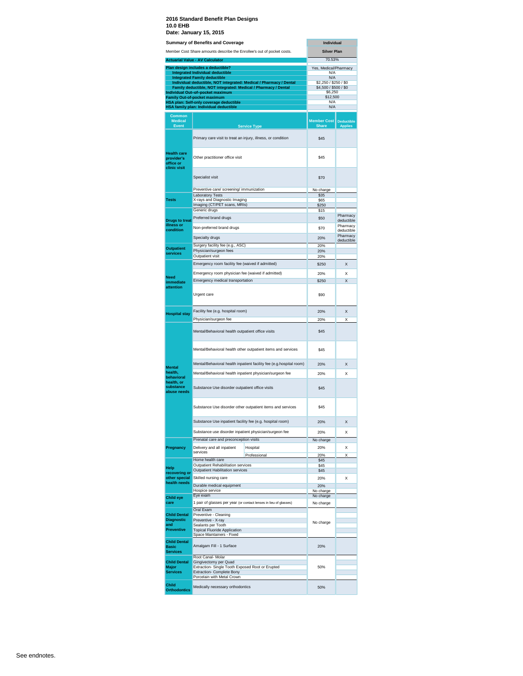|                                                               | Date: January 13, 2013                                                                |                                                                     |                                        |                        |
|---------------------------------------------------------------|---------------------------------------------------------------------------------------|---------------------------------------------------------------------|----------------------------------------|------------------------|
|                                                               | <b>Summary of Benefits and Coverage</b>                                               |                                                                     | <b>Individual</b>                      |                        |
|                                                               | Member Cost Share amounts describe the Enrollee's out of pocket costs.                |                                                                     | <b>Silver Plan</b>                     |                        |
|                                                               | <b>Actuarial Value - AV Calculator</b>                                                |                                                                     | 70.53%                                 |                        |
|                                                               | Plan design includes a deductible?<br><b>Integrated Individual deductible</b>         |                                                                     | Yes, Medical/Pharmacy<br>N/A           |                        |
|                                                               | <b>Integrated Family deductible</b>                                                   | Individual deductible, NOT integrated: Medical / Pharmacy / Dental  | N/A<br>\$2,250 / \$250 / \$0           |                        |
|                                                               | Family deductible, NOT integrated: Medical / Pharmacy / Dental                        |                                                                     | \$4,500 / \$500 / \$0                  |                        |
|                                                               | Individual Out-of-pocket maximum<br>Family Out-of-pocket maximum                      |                                                                     | \$6,250<br>\$12,500                    |                        |
|                                                               | HSA plan: Self-only coverage deductible                                               |                                                                     | N/A                                    |                        |
|                                                               | HSA family plan: Individual deductible                                                |                                                                     | N/A                                    |                        |
| <b>Common</b><br><b>Medical</b><br><b>Event</b>               |                                                                                       | <b>Service Type</b>                                                 | Member Cost Deductible<br><b>Share</b> | Applies                |
|                                                               | Primary care visit to treat an injury, illness, or condition                          |                                                                     | \$45                                   |                        |
| <b>Health care</b><br>provider's<br>office or<br>clinic visit | Other practitioner office visit                                                       |                                                                     | \$45                                   |                        |
|                                                               | Specialist visit                                                                      |                                                                     | \$70                                   |                        |
|                                                               | Preventive care/ screening/ immunization                                              |                                                                     | No charge                              |                        |
| <b>Tests</b>                                                  | <b>Laboratory Tests</b><br>X-rays and Diagnostic Imaging                              |                                                                     | \$35<br>\$65                           |                        |
|                                                               | Imaging (CT/PET scans, MRIs)                                                          |                                                                     | \$250                                  |                        |
| <b>Drugs to treat</b>                                         | Generic drugs<br>Preferred brand drugs                                                |                                                                     | \$15<br>\$50                           | Pharmacy<br>deductible |
| illness or                                                    | Non-preferred brand drugs                                                             |                                                                     | \$70                                   | Pharmacy               |
| condition                                                     | Specialty drugs                                                                       |                                                                     | 20%                                    | deductible<br>Pharmacy |
|                                                               | Surgery facility fee (e.g., ASC)                                                      |                                                                     | 20%                                    | deductible             |
| <b>Outpatient</b><br>services                                 | Physician/surgeon fees                                                                |                                                                     | 20%                                    |                        |
|                                                               | Outpatient visit                                                                      |                                                                     | 20%                                    |                        |
|                                                               | Emergency room facility fee (waived if admitted)                                      |                                                                     | \$250                                  | X                      |
| <b>Need</b>                                                   | Emergency room physician fee (waived if admitted)<br>Emergency medical transportation |                                                                     | 20%<br>\$250                           | X<br>X                 |
| immediate<br>attention                                        | Urgent care                                                                           |                                                                     | \$90                                   |                        |
| <b>Hospital stay</b>                                          | Facility fee (e.g. hospital room)                                                     |                                                                     | 20%                                    | X                      |
|                                                               | Physician/surgeon fee                                                                 |                                                                     | 20%                                    | X                      |
|                                                               | Mental/Behavioral health outpatient office visits                                     |                                                                     | \$45                                   |                        |
|                                                               | Mental/Behavioral health other outpatient items and services                          |                                                                     | \$45                                   |                        |
| <b>Mental</b>                                                 |                                                                                       | Mental/Behavioral health inpatient facility fee (e.g.hospital room) | 20%                                    | X                      |
| health.                                                       | Mental/Behavioral health inpatient physician/surgeon fee                              |                                                                     | 20%                                    | x                      |
| behavioral<br>health, or<br>substance<br>abuse needs          | Substance Use disorder outpatient office visits                                       |                                                                     | \$45                                   |                        |
|                                                               |                                                                                       | Substance Use disorder other outpatient items and services          | \$45                                   |                        |
|                                                               | Substance Use inpatient facility fee (e.g. hospital room)                             |                                                                     | 20%                                    | X                      |
|                                                               | Substance use disorder inpatient physician/surgeon fee                                |                                                                     | 20%                                    | X                      |
|                                                               | Prenatal care and preconception visits                                                |                                                                     | No charge                              |                        |
| Pregnancy                                                     | Delivery and all inpatient                                                            | Hospital                                                            | 20%                                    | X                      |
|                                                               | services                                                                              | Professional                                                        | 20%                                    | X                      |
|                                                               | Home health care<br>Outpatient Rehabilitation services                                |                                                                     | \$45<br>\$45                           |                        |
| Help<br>recovering or                                         | <b>Outpatient Habilitation services</b>                                               |                                                                     | \$45                                   |                        |
| other special                                                 | Skilled nursing care                                                                  |                                                                     | 20%                                    | X                      |
| health needs                                                  | Durable medical equipment                                                             |                                                                     | 20%                                    |                        |
| <b>Child eye</b>                                              | Hospice service<br>Eye exam                                                           |                                                                     | No charge<br>No charge                 |                        |
| care                                                          | 1 pair of glasses per year (or contact lenses in lieu of glasses)                     |                                                                     | No charge                              |                        |
|                                                               | Oral Exam                                                                             |                                                                     |                                        |                        |
| <b>Child Dental</b><br><b>Diagnostic</b>                      | Preventive - Cleaning<br>Preventive - X-ray                                           |                                                                     |                                        |                        |
| and<br><b>Preventive</b>                                      | Sealants per Tooth                                                                    |                                                                     | No charge                              |                        |
|                                                               | <b>Topical Fluoride Application</b><br>Space Maintainers - Fixed                      |                                                                     |                                        |                        |
| <b>Child Dental</b><br><b>Basic</b><br><b>Services</b>        | Amalgam Fill - 1 Surface                                                              |                                                                     | 20%                                    |                        |
|                                                               | Root Canal- Molar                                                                     |                                                                     |                                        |                        |
| <b>Child Dental</b><br>Major                                  | Gingivectomy per Quad<br>Extraction- Single Tooth Exposed Root or Erupted             |                                                                     | 50%                                    |                        |
| <b>Services</b>                                               | Extraction- Complete Bony                                                             |                                                                     |                                        |                        |
|                                                               | Porcelain with Metal Crown                                                            |                                                                     |                                        |                        |
| <b>Child</b><br><b>Orthodontics</b>                           | Medically necessary orthodontics                                                      |                                                                     | 50%                                    |                        |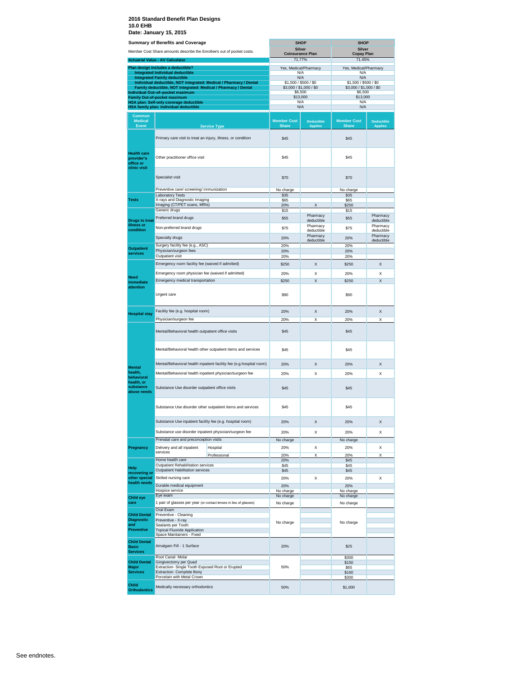|                                                               | <b>Summary of Benefits and Coverage</b>                                                            |                                                                        |                                    | <b>SHOP</b>                         | <b>SHOP</b>                        |                                     |  |
|---------------------------------------------------------------|----------------------------------------------------------------------------------------------------|------------------------------------------------------------------------|------------------------------------|-------------------------------------|------------------------------------|-------------------------------------|--|
|                                                               |                                                                                                    | Member Cost Share amounts describe the Enrollee's out of pocket costs. | <b>Silver</b>                      |                                     | Silver                             |                                     |  |
|                                                               | <b>Actuarial Value - AV Calculator</b>                                                             |                                                                        | <b>Coinsurance Plan</b>            | 71.77%                              |                                    | <b>Copay Plan</b><br>71.45%         |  |
|                                                               | Plan design includes a deductible?                                                                 |                                                                        | Yes, Medical/Pharmacy              |                                     | Yes, Medical/Pharmacy              |                                     |  |
|                                                               | <b>Integrated Individual deductible</b>                                                            |                                                                        | N/A                                |                                     | N/A                                |                                     |  |
|                                                               | <b>Integrated Family deductible</b>                                                                | Individual deductible, NOT integrated: Medical / Pharmacy / Dental     | N/A<br>\$1,500 / \$500 / \$0       |                                     | N/A<br>\$1,500 / \$500 / \$0       |                                     |  |
|                                                               | Family deductible, NOT integrated: Medical / Pharmacy / Dental<br>Individual Out-of-pocket maximum |                                                                        | \$3,000 / \$1,000 / \$0<br>\$6,500 |                                     | \$3,000 / \$1,000 / \$0<br>\$6,500 |                                     |  |
|                                                               | Family Out-of-pocket maximum                                                                       |                                                                        | \$13,000                           |                                     | \$13,000                           |                                     |  |
|                                                               | <b>HSA plan: Self-only coverage deductible</b><br>HSA family plan: Individual deductible           |                                                                        | N/A<br>N/A                         |                                     | N/A<br>N/A                         |                                     |  |
| <b>Common</b>                                                 |                                                                                                    |                                                                        |                                    |                                     |                                    |                                     |  |
| <b>Medical</b><br>Event                                       |                                                                                                    | <b>Service Type</b>                                                    | <b>Member Cost</b><br><b>Share</b> | <b>Deductible</b><br><b>Applies</b> | <b>Member Cost</b><br><b>Share</b> | <b>Deductible</b><br><b>Applies</b> |  |
|                                                               | Primary care visit to treat an injury, illness, or condition                                       |                                                                        | \$45                               |                                     | \$45                               |                                     |  |
| <b>Health care</b><br>provider's<br>office or<br>clinic visit | Other practitioner office visit                                                                    |                                                                        | \$45                               |                                     | \$45                               |                                     |  |
|                                                               | Specialist visit                                                                                   |                                                                        | \$70                               |                                     | \$70                               |                                     |  |
|                                                               | Preventive care/ screening/ immunization                                                           |                                                                        | No charge                          |                                     | No charge                          |                                     |  |
| Tests                                                         | <b>Laboratory Tests</b><br>X-rays and Diagnostic Imaging                                           |                                                                        | \$35<br>\$65                       |                                     | \$35<br>\$65                       |                                     |  |
|                                                               | Imaging (CT/PET scans, MRIs)                                                                       |                                                                        | 20%                                | X                                   | \$250                              |                                     |  |
|                                                               | Generic drugs                                                                                      |                                                                        | \$15                               |                                     | \$15                               |                                     |  |
| <b>Drugs to treat</b>                                         | Preferred brand drugs                                                                              |                                                                        | \$55                               | Pharmacy<br>deductible              | \$55                               | Pharmacy<br>deductible              |  |
| illness or                                                    | Non-preferred brand drugs                                                                          |                                                                        | \$75                               | Pharmacy                            | \$75                               | Pharmacy                            |  |
| condition                                                     |                                                                                                    |                                                                        |                                    | deductible<br>Pharmacy              |                                    | deductible<br>Pharmacy              |  |
|                                                               | Specialty drugs                                                                                    |                                                                        | 20%                                | deductible                          | 20%                                | deductible                          |  |
| <b>Outpatient</b>                                             | Surgery facility fee (e.g., ASC)<br>Physician/surgeon fees                                         |                                                                        | 20%<br>20%                         |                                     | 20%<br>20%                         |                                     |  |
| services                                                      | Outpatient visit                                                                                   |                                                                        | 20%                                |                                     | 20%                                |                                     |  |
|                                                               | Emergency room facility fee (waived if admitted)                                                   |                                                                        | \$250                              | х                                   | \$250                              | x                                   |  |
|                                                               | Emergency room physician fee (waived if admitted)                                                  |                                                                        | 20%                                | Х                                   | 20%                                | X                                   |  |
| Need<br>immediate                                             | Emergency medical transportation                                                                   |                                                                        | \$250                              | Χ                                   | \$250                              | X                                   |  |
| attention                                                     | Urgent care                                                                                        |                                                                        | \$90                               |                                     | \$90                               |                                     |  |
|                                                               | Facility fee (e.g. hospital room)                                                                  |                                                                        | 20%                                | X                                   | 20%                                | X                                   |  |
| <b>Hospital stay</b>                                          |                                                                                                    |                                                                        |                                    |                                     |                                    |                                     |  |
|                                                               | Physician/surgeon fee<br>Mental/Behavioral health outpatient office visits                         |                                                                        | 20%<br>\$45                        | X                                   | 20%<br>\$45                        | X                                   |  |
|                                                               |                                                                                                    | Mental/Behavioral health other outpatient items and services           | \$45                               |                                     | \$45                               |                                     |  |
|                                                               |                                                                                                    | Mental/Behavioral health inpatient facility fee (e.g.hospital room)    | 20%                                | Χ                                   | 20%                                | X                                   |  |
| <b>Mental</b><br>health.                                      |                                                                                                    | Mental/Behavioral health inpatient physician/surgeon fee               | 20%                                | Х                                   | 20%                                | X                                   |  |
| behavioral<br>health, or<br>substance<br>abuse needs          | Substance Use disorder outpatient office visits                                                    |                                                                        | \$45                               |                                     | \$45                               |                                     |  |
|                                                               |                                                                                                    | Substance Use disorder other outpatient items and services             | \$45                               |                                     | \$45                               |                                     |  |
|                                                               | Substance Use inpatient facility fee (e.g. hospital room)                                          |                                                                        | 20%                                | X                                   | 20%                                | X                                   |  |
|                                                               | Substance use disorder inpatient physician/surgeon fee                                             |                                                                        | 20%                                | Χ                                   | 20%                                | X                                   |  |
|                                                               | Prenatal care and preconception visits                                                             |                                                                        | No charge                          |                                     | No charge                          |                                     |  |
| Pregnancy                                                     | Delivery and all inpatient<br>services                                                             | Hospital                                                               | 20%                                | X                                   | 20%                                | X                                   |  |
|                                                               | Home health care                                                                                   | Professional                                                           | 20%<br>20%                         | X                                   | 20%<br>\$45                        | X                                   |  |
|                                                               | Outpatient Rehabilitation services                                                                 |                                                                        | \$45                               |                                     | \$45                               |                                     |  |
| Help<br>recovering or                                         | Outpatient Habilitation services                                                                   |                                                                        | \$45                               |                                     | \$45                               |                                     |  |
| other special<br>health needs                                 | Skilled nursing care                                                                               |                                                                        | 20%                                | Χ                                   | 20%                                | X                                   |  |
|                                                               | Durable medical equipment                                                                          |                                                                        | 20%                                |                                     | 20%                                |                                     |  |
|                                                               | Hospice service<br>Eye exam                                                                        |                                                                        | No charge<br>No charge             |                                     | No charge<br>No charge             |                                     |  |
| Child eye<br>care                                             |                                                                                                    | 1 pair of glasses per year (or contact lenses in lieu of glasses)      | No charge                          |                                     | No charge                          |                                     |  |
| <b>Child Dental</b>                                           | Oral Exam<br>Preventive - Cleaning                                                                 |                                                                        |                                    |                                     |                                    |                                     |  |
| <b>Diagnostic</b>                                             | Preventive - X-ray                                                                                 |                                                                        | No charge                          |                                     | No charge                          |                                     |  |
| and<br><b>Preventive</b>                                      | Sealants per Tooth<br><b>Topical Fluoride Application</b>                                          |                                                                        |                                    |                                     |                                    |                                     |  |
|                                                               | Space Maintainers - Fixed                                                                          |                                                                        |                                    |                                     |                                    |                                     |  |
| <b>Child Dental</b><br>Basic<br><b>Services</b>               | Amalgam Fill - 1 Surface                                                                           |                                                                        | 20%                                |                                     | \$25                               |                                     |  |
|                                                               | Root Canal- Molar                                                                                  |                                                                        |                                    |                                     | \$300                              |                                     |  |
| <b>Child Dental</b><br>Major                                  | Gingivectomy per Quad<br>Extraction- Single Tooth Exposed Root or Erupted                          |                                                                        | 50%                                |                                     | \$150<br>\$65                      |                                     |  |
| <b>Services</b>                                               | <b>Extraction- Complete Bony</b><br>Porcelain with Metal Crown                                     |                                                                        |                                    |                                     | \$160<br>\$300                     |                                     |  |
| <b>Child</b><br><b>Orthodontics</b>                           | Medically necessary orthodontics                                                                   |                                                                        | 50%                                |                                     | \$1,000                            |                                     |  |
|                                                               |                                                                                                    |                                                                        |                                    |                                     |                                    |                                     |  |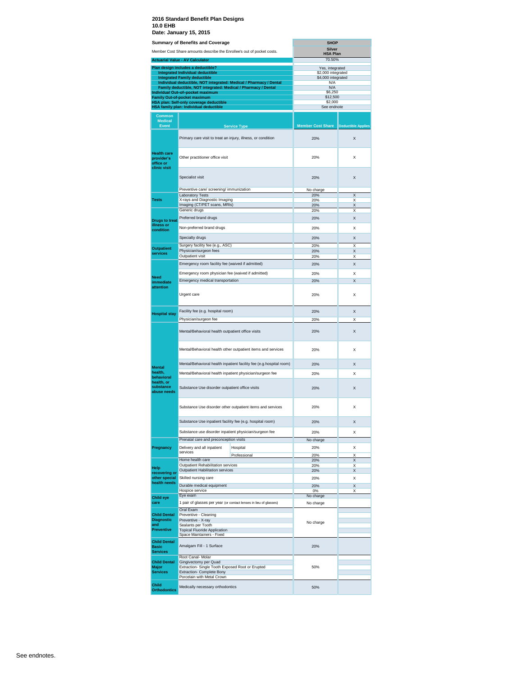|                                                        | <b>Summary of Benefits and Coverage</b><br>Member Cost Share amounts describe the Enrollee's out of pocket costs. | <b>SHOP</b><br><b>Silver</b><br><b>HSA Plan</b> |                           |
|--------------------------------------------------------|-------------------------------------------------------------------------------------------------------------------|-------------------------------------------------|---------------------------|
|                                                        | <b>Actuarial Value - AV Calculator</b>                                                                            | 70.50%                                          |                           |
|                                                        | Plan design includes a deductible?                                                                                | Yes, integrated                                 |                           |
|                                                        | <b>Integrated Individual deductible</b>                                                                           | \$2,000 integrated                              |                           |
|                                                        | <b>Integrated Family deductible</b>                                                                               | \$4,000 integrated                              |                           |
|                                                        | Individual deductible, NOT integrated: Medical / Pharmacy / Dental                                                | N/A<br>N/A                                      |                           |
|                                                        | Family deductible, NOT integrated: Medical / Pharmacy / Dental<br>Individual Out-of-pocket maximum                | \$6,250                                         |                           |
|                                                        | <b>Family Out-of-pocket maximum</b>                                                                               | \$12,500                                        |                           |
|                                                        | HSA plan: Self-only coverage deductible                                                                           | \$2,000                                         |                           |
|                                                        | HSA family plan: Individual deductible                                                                            | See endnote                                     |                           |
| Common<br><b>Medical</b><br><b>Event</b>               |                                                                                                                   | <b>Member Cost Share</b>                        | <b>Deductible Applies</b> |
|                                                        | <b>Service Type</b>                                                                                               |                                                 |                           |
| <b>Health care</b>                                     | Primary care visit to treat an injury, illness, or condition                                                      | 20%                                             | X                         |
| provider's<br>office or<br>clinic visit                | Other practitioner office visit                                                                                   | 20%                                             | X                         |
|                                                        | Specialist visit                                                                                                  | 20%                                             | X                         |
|                                                        | Preventive care/ screening/ immunization                                                                          | No charge                                       |                           |
| Tests                                                  | <b>Laboratory Tests</b><br>X-rays and Diagnostic Imaging                                                          | 20%<br>20%                                      | X<br>х                    |
|                                                        | Imaging (CT/PET scans, MRIs)                                                                                      | 20%                                             |                           |
|                                                        | Generic drugs                                                                                                     | 20%                                             | X                         |
| <b>Drugs to treat</b>                                  | Preferred brand drugs                                                                                             | 20%                                             | Χ                         |
| illness or<br>condition                                | Non-preferred brand drugs                                                                                         | 20%                                             | X                         |
|                                                        | Specialty drugs                                                                                                   | 20%                                             | X                         |
| <b>Outpatient</b>                                      | Surgery facility fee (e.g., ASC)                                                                                  | 20%                                             | X                         |
| services                                               | Physician/surgeon fees<br>Outpatient visit                                                                        | 20%                                             | Χ                         |
|                                                        |                                                                                                                   | 20%                                             | X                         |
|                                                        | Emergency room facility fee (waived if admitted)                                                                  | 20%                                             | X                         |
| Need                                                   | Emergency room physician fee (waived if admitted)                                                                 | 20%                                             | X                         |
| immediate<br>attention                                 | Emergency medical transportation                                                                                  | 20%                                             | Χ                         |
|                                                        | Urgent care                                                                                                       | 20%                                             | X                         |
| <b>Hospital stay</b>                                   | Facility fee (e.g. hospital room)                                                                                 | 20%                                             | X                         |
|                                                        | Physician/surgeon fee                                                                                             | 20%                                             | Χ                         |
|                                                        | Mental/Behavioral health outpatient office visits                                                                 | 20%                                             | X                         |
|                                                        | Mental/Behavioral health other outpatient items and services                                                      | 20%                                             | X                         |
| Mental                                                 | Mental/Behavioral health inpatient facility fee (e.g.hospital room)                                               | 20%                                             | X                         |
| health,<br>behavioral                                  | Mental/Behavioral health inpatient physician/surgeon fee                                                          | 20%                                             | X                         |
| health, or<br>substance<br>abuse needs                 | Substance Use disorder outpatient office visits                                                                   | 20%                                             | X                         |
|                                                        | Substance Use disorder other outpatient items and services                                                        | 20%                                             | X                         |
|                                                        | Substance Use inpatient facility fee (e.g. hospital room)                                                         | 20%                                             | X                         |
|                                                        | Substance use disorder inpatient physician/surgeon fee                                                            | 20%                                             | X                         |
|                                                        | Prenatal care and preconception visits                                                                            | No charge                                       |                           |
| Pregnancy                                              | Delivery and all inpatient<br>Hospital                                                                            | 20%                                             | X                         |
|                                                        | services<br>Professional                                                                                          | 20%                                             | X                         |
|                                                        | Home health care                                                                                                  | 20%                                             | X                         |
| Help                                                   | Outpatient Rehabilitation services                                                                                | 20%                                             | X                         |
| recovering or                                          | <b>Outpatient Habilitation services</b>                                                                           | 20%                                             | X                         |
| other special                                          | Skilled nursing care                                                                                              | 20%                                             | Χ                         |
| health needs                                           | Durable medical equipment                                                                                         | 20%                                             | X                         |
|                                                        | Hospice service                                                                                                   | 0%                                              | Χ                         |
| <b>Child eve</b>                                       | Eye exam                                                                                                          | No charge                                       |                           |
| care                                                   | 1 pair of glasses per year (or contact lenses in lieu of glasses)                                                 | No charge                                       |                           |
| <b>Child Dental</b><br><b>Diagnostic</b><br>and        | Oral Exam<br>Preventive - Cleaning<br>Preventive - X-ray<br>Sealants per Tooth                                    | No charge                                       |                           |
| <b>Preventive</b>                                      | <b>Topical Fluoride Application</b><br>Space Maintainers - Fixed                                                  |                                                 |                           |
| <b>Child Dental</b><br><b>Basic</b><br><b>Services</b> | Amalgam Fill - 1 Surface                                                                                          | 20%                                             |                           |
| <b>Child Dental</b>                                    | Root Canal- Molar<br>Gingivectomy per Quad                                                                        |                                                 |                           |
| Major<br><b>Services</b>                               | Extraction- Single Tooth Exposed Root or Erupted<br>Extraction- Complete Bony                                     | 50%                                             |                           |
| Child                                                  | Porcelain with Metal Crown                                                                                        |                                                 |                           |
| <b>Orthodontics</b>                                    | Medically necessary orthodontics                                                                                  | 50%                                             |                           |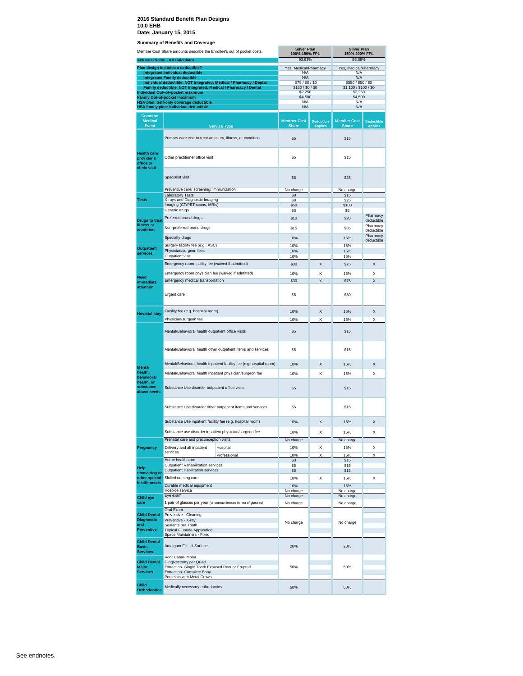|                                                               | Member Cost Share amounts describe the Enrollee's out of pocket costs.                                                               |                                                                     | <b>Silver Plan</b><br>100%-150% FPL   |                                     | <b>Silver Plan</b><br>150%-200% FPL         |                                      |
|---------------------------------------------------------------|--------------------------------------------------------------------------------------------------------------------------------------|---------------------------------------------------------------------|---------------------------------------|-------------------------------------|---------------------------------------------|--------------------------------------|
|                                                               | <b>Actuarial Value - AV Calculator</b>                                                                                               |                                                                     | 93.93%                                |                                     | 86.89%                                      |                                      |
|                                                               | Plan design includes a deductible?<br><b>Integrated Individual deductible</b>                                                        |                                                                     | Yes, Medical/Pharmacy<br>N/A          |                                     | Yes, Medical/Pharmacy<br>N/A                |                                      |
|                                                               | <b>Integrated Family deductible</b>                                                                                                  |                                                                     | N/A                                   |                                     | N/A                                         |                                      |
|                                                               | Family deductible, NOT integrated: Medical / Pharmacy / Dental                                                                       | Individual deductible, NOT integrated: Medical / Pharmacy / Dental  | \$75 / \$0 / \$0<br>\$150 / \$0 / \$0 |                                     | \$550 / \$50 / \$0<br>\$1,100 / \$100 / \$0 |                                      |
|                                                               | Individual Out-of-pocket maximum<br><b>Family Out-of-pocket maximum</b>                                                              |                                                                     | \$2,250<br>\$4,500                    |                                     | \$2,250<br>\$4,500                          |                                      |
|                                                               | HSA plan: Self-only coverage deductible                                                                                              |                                                                     | N/A                                   |                                     | N/A                                         |                                      |
|                                                               | HSA family plan: Individual deductible                                                                                               |                                                                     | N/A                                   |                                     | N/A                                         |                                      |
| Common<br><b>Medical</b><br><b>Event</b>                      |                                                                                                                                      | <b>Service Type</b>                                                 | <b>Member Cost</b><br><b>Share</b>    | <b>Deductible</b><br><b>Applies</b> | <b>Member Cost</b><br><b>Share</b>          | <b>Deductible</b><br>Applies         |
|                                                               | Primary care visit to treat an injury, illness, or condition                                                                         |                                                                     | \$5                                   |                                     | \$15                                        |                                      |
| <b>Health care</b><br>provider's<br>office or<br>clinic visit | Other practitioner office visit                                                                                                      |                                                                     | \$5                                   |                                     | \$15                                        |                                      |
|                                                               | Specialist visit                                                                                                                     |                                                                     | \$8                                   |                                     | \$25                                        |                                      |
|                                                               | Preventive care/ screening/ immunization<br><b>Laboratory Tests</b>                                                                  |                                                                     | No charge<br>\$8                      |                                     | No charge<br>\$15                           |                                      |
| <b>Tests</b>                                                  | X-rays and Diagnostic Imaging                                                                                                        |                                                                     | \$8                                   |                                     | \$25                                        |                                      |
|                                                               | Imaging (CT/PET scans, MRIs)<br>Generic drugs                                                                                        |                                                                     | \$50<br>\$3                           |                                     | \$100<br>\$5                                |                                      |
|                                                               | Preferred brand drugs                                                                                                                |                                                                     | \$10                                  |                                     | \$20                                        | Pharmacy                             |
| <b>Drugs to treat</b><br>illness or<br>condition              | Non-preferred brand drugs                                                                                                            |                                                                     | \$15                                  |                                     | \$35                                        | deductible<br>Pharmacy<br>deductible |
|                                                               | Specialty drugs                                                                                                                      |                                                                     | 10%                                   |                                     | 15%                                         | Pharmacy<br>deductible               |
| <b>Outpatient</b>                                             | Surgery facility fee (e.g., ASC)<br>Physician/surgeon fees                                                                           |                                                                     | 10%                                   |                                     | 15%                                         |                                      |
| services                                                      | Outpatient visit                                                                                                                     |                                                                     | 10%<br>10%                            |                                     | 15%<br>15%                                  |                                      |
|                                                               | Emergency room facility fee (waived if admitted)                                                                                     |                                                                     | \$30                                  | X                                   | \$75                                        | X                                    |
|                                                               | Emergency room physician fee (waived if admitted)                                                                                    |                                                                     | 10%                                   | Χ                                   | 15%                                         | X                                    |
| <b>Need</b><br><i>immediate</i>                               | Emergency medical transportation                                                                                                     |                                                                     | \$30                                  | $\overline{\mathsf{x}}$             | \$75                                        | X                                    |
| attention                                                     | Urgent care                                                                                                                          |                                                                     | \$6                                   |                                     | \$30                                        |                                      |
| <b>Hospital stay</b>                                          | Facility fee (e.g. hospital room)                                                                                                    |                                                                     | 10%                                   | X                                   | 15%                                         | X                                    |
|                                                               | Physician/surgeon fee                                                                                                                |                                                                     | 10%                                   | Χ                                   | 15%                                         | X                                    |
|                                                               | Mental/Behavioral health outpatient office visits                                                                                    |                                                                     | \$5                                   |                                     | \$15                                        |                                      |
|                                                               |                                                                                                                                      | Mental/Behavioral health other outpatient items and services        | \$5                                   |                                     | \$15                                        |                                      |
| <b>Mental</b>                                                 |                                                                                                                                      | Mental/Behavioral health inpatient facility fee (e.g.hospital room) | 10%                                   | X                                   | 15%                                         | X                                    |
| health,<br>behavioral                                         | Mental/Behavioral health inpatient physician/surgeon fee                                                                             |                                                                     | 10%                                   | Χ                                   | 15%                                         | X                                    |
| health, or<br>substance<br>abuse needs                        | Substance Use disorder outpatient office visits                                                                                      |                                                                     | \$5                                   |                                     | \$15                                        |                                      |
|                                                               |                                                                                                                                      | Substance Use disorder other outpatient items and services          | \$5                                   |                                     | \$15                                        |                                      |
|                                                               | Substance Use inpatient facility fee (e.g. hospital room)                                                                            |                                                                     | 10%                                   | X                                   | 15%                                         | X                                    |
|                                                               | Substance use disorder inpatient physician/surgeon fee                                                                               |                                                                     | 10%                                   | Х                                   | 15%                                         | Х                                    |
|                                                               | Prenatal care and preconception visits                                                                                               |                                                                     | No charge                             |                                     | No charge                                   |                                      |
| Pregnancy                                                     | Delivery and all inpatient<br>services                                                                                               | Hospital                                                            | 10%                                   | Χ                                   | 15%                                         | Х                                    |
|                                                               | Home health care                                                                                                                     | Professional                                                        | 10%<br>\$3                            | X                                   | 15%<br>\$15                                 | X                                    |
| Help                                                          | Outpatient Rehabilitation services                                                                                                   |                                                                     | \$5                                   |                                     | \$15                                        |                                      |
| recovering or<br>other special                                | <b>Outpatient Habilitation services</b><br>Skilled nursing care                                                                      |                                                                     | \$5<br>10%                            |                                     | \$15<br>15%                                 |                                      |
| health needs                                                  | Durable medical equipment                                                                                                            |                                                                     | 10%                                   | Χ                                   | 15%                                         | х                                    |
|                                                               | Hospice service<br>Eye exam                                                                                                          |                                                                     | No charge                             |                                     | No charge                                   |                                      |
| <b>Child eye</b><br>care                                      | 1 pair of glasses per year (or contact lenses in lieu of glasses)                                                                    |                                                                     | No charge<br>No charge                |                                     | No charge<br>No charge                      |                                      |
|                                                               | Oral Exam                                                                                                                            |                                                                     |                                       |                                     |                                             |                                      |
| <b>Child Dental</b><br><b>Diagnostic</b>                      | Preventive - Cleaning<br>Preventive - X-ray                                                                                          |                                                                     |                                       |                                     |                                             |                                      |
| and                                                           | Sealants per Tooth                                                                                                                   |                                                                     | No charge                             |                                     | No charge                                   |                                      |
| <b>Preventive</b>                                             | <b>Topical Fluoride Application</b><br>Space Maintainers - Fixed                                                                     |                                                                     |                                       |                                     |                                             |                                      |
| <b>Child Dental</b><br><b>Basic</b><br><b>Services</b>        | Amalgam Fill - 1 Surface                                                                                                             |                                                                     | 20%                                   |                                     | 20%                                         |                                      |
|                                                               | Root Canal- Molar                                                                                                                    |                                                                     |                                       |                                     |                                             |                                      |
| <b>Child Dental</b><br>Major<br><b>Services</b>               | Gingivectomy per Quad<br>Extraction- Single Tooth Exposed Root or Erupted<br>Extraction- Complete Bony<br>Porcelain with Metal Crown |                                                                     | 50%                                   |                                     | 50%                                         |                                      |
| <b>Child</b><br><b>Orthodontics</b>                           | Medically necessary orthodontics                                                                                                     |                                                                     | 50%                                   |                                     | 50%                                         |                                      |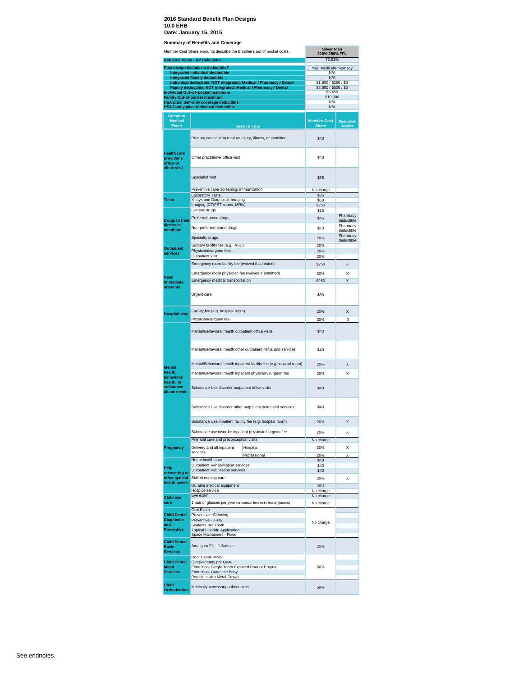**Summary of Benefits and Co** 

|                                                               | Member Cost Share amounts describe the Enrollee's out of pocket costs.<br><b>Actuarial Value - AV Calculator</b> |                                                                     | <b>Silver Plan</b><br>200%-250% FPL<br>72.91% |                                     |
|---------------------------------------------------------------|------------------------------------------------------------------------------------------------------------------|---------------------------------------------------------------------|-----------------------------------------------|-------------------------------------|
|                                                               | Plan design includes a deductible?                                                                               |                                                                     | Yes, Medical/Pharmacy                         |                                     |
|                                                               | <b>Integrated Individual deductible</b><br><b>Integrated Family deductible</b>                                   |                                                                     | N/A<br>N/A                                    |                                     |
|                                                               |                                                                                                                  | Individual deductible, NOT integrated: Medical / Pharmacy / Dental  | \$1,900 / \$250 / \$0                         |                                     |
|                                                               | Family deductible, NOT integrated: Medical / Pharmacy / Dental<br>Individual Out-of-pocket maximum               |                                                                     | \$3,800 / \$500 / \$0<br>\$5,450              |                                     |
|                                                               | <b>Family Out-of-pocket maximum</b>                                                                              |                                                                     | \$10,900<br>N/A                               |                                     |
|                                                               | HSA plan: Self-only coverage deductible<br>HSA family plan: Individual deductible                                |                                                                     | N/A                                           |                                     |
| <b>Common</b><br><b>Medical</b><br><b>Event</b>               |                                                                                                                  |                                                                     | <b>Member Cost</b><br><b>Share</b>            | <b>Deductible</b><br><b>Applies</b> |
|                                                               |                                                                                                                  | <b>Service Type</b>                                                 |                                               |                                     |
|                                                               | Primary care visit to treat an injury, illness, or condition                                                     |                                                                     | \$40                                          |                                     |
| <b>Health care</b><br>provider's<br>office or<br>clinic visit | Other practitioner office visit                                                                                  |                                                                     | \$40                                          |                                     |
|                                                               | Specialist visit                                                                                                 |                                                                     | \$55                                          |                                     |
|                                                               | Preventive care/ screening/ immunization                                                                         |                                                                     | No charge                                     |                                     |
| <b>Tests</b>                                                  | <b>Laboratory Tests</b><br>X-rays and Diagnostic Imaging                                                         |                                                                     | \$35<br>\$50                                  |                                     |
|                                                               | Imaging (CT/PET scans, MRIs)                                                                                     |                                                                     | \$250                                         |                                     |
|                                                               | Generic drugs                                                                                                    |                                                                     | \$15                                          | Pharmacy                            |
| <b>Drugs to treat</b>                                         | Preferred brand drugs                                                                                            |                                                                     | \$45                                          | deductible                          |
| illness or<br>condition                                       | Non-preferred brand drugs                                                                                        |                                                                     | \$70                                          | Pharmacy<br>deductible              |
|                                                               | Specialty drugs                                                                                                  |                                                                     | 20%                                           | Pharmacy                            |
|                                                               | Surgery facility fee (e.g., ASC)                                                                                 |                                                                     | 20%                                           | deductible                          |
| <b>Outpatient</b><br>services                                 | Physician/surgeon fees                                                                                           |                                                                     | 20%                                           |                                     |
|                                                               | Outpatient visit                                                                                                 |                                                                     | 20%                                           |                                     |
|                                                               | Emergency room facility fee (waived if admitted)                                                                 |                                                                     | \$250                                         | Χ                                   |
|                                                               | Emergency room physician fee (waived if admitted)                                                                |                                                                     | 20%                                           | x                                   |
| <b>Need</b><br>immediate                                      | Emergency medical transportation                                                                                 |                                                                     | \$250                                         | X                                   |
| attention                                                     | Urgent care                                                                                                      |                                                                     | \$80                                          |                                     |
|                                                               | Facility fee (e.g. hospital room)                                                                                |                                                                     | 20%                                           | Χ                                   |
| <b>Hospital stay</b>                                          | Physician/surgeon fee                                                                                            |                                                                     | 20%                                           | Χ                                   |
|                                                               | Mental/Behavioral health outpatient office visits                                                                |                                                                     | \$40                                          |                                     |
|                                                               |                                                                                                                  | Mental/Behavioral health other outpatient items and services        | \$40                                          |                                     |
| <b>Mental</b>                                                 |                                                                                                                  | Mental/Behavioral health inpatient facility fee (e.g.hospital room) | 20%                                           | Χ                                   |
| health,<br>behavioral                                         |                                                                                                                  | Mental/Behavioral health inpatient physician/surgeon fee            | 20%                                           | x                                   |
| health, or<br>substance<br>abuse needs                        | Substance Use disorder outpatient office visits                                                                  |                                                                     | \$40                                          |                                     |
|                                                               |                                                                                                                  | Substance Use disorder other outpatient items and services          | \$40                                          |                                     |
|                                                               | Substance Use inpatient facility fee (e.g. hospital room)                                                        |                                                                     | 20%                                           | X                                   |
|                                                               | Substance use disorder inpatient physician/surgeon fee                                                           |                                                                     | 20%                                           | Χ                                   |
|                                                               | Prenatal care and preconception visits                                                                           |                                                                     | No charge                                     |                                     |
| Pregnancy                                                     | Delivery and all inpatient<br>services                                                                           | Hospital                                                            | 20%                                           | X                                   |
|                                                               | Home health care                                                                                                 | Professional                                                        | 20%<br>\$40                                   | Χ                                   |
| Help                                                          | Outpatient Rehabilitation services                                                                               |                                                                     | \$40                                          |                                     |
| recovering or                                                 | <b>Outpatient Habilitation services</b>                                                                          |                                                                     | \$40                                          |                                     |
| other special<br>health needs                                 | Skilled nursing care                                                                                             |                                                                     | 20%                                           | X                                   |
|                                                               | Durable medical equipment<br>Hospice service                                                                     |                                                                     | 20%<br>No charge                              |                                     |
| <b>Child eye</b>                                              | Eye exam                                                                                                         |                                                                     | No charge                                     |                                     |
| care                                                          |                                                                                                                  | 1 pair of glasses per year (or contact lenses in lieu of glasses)   | No charge                                     |                                     |
|                                                               | Oral Exam                                                                                                        |                                                                     |                                               |                                     |
| <b>Child Dental</b><br><b>Diagnostic</b>                      | Preventive - Cleaning<br>Preventive - X-ray                                                                      |                                                                     |                                               |                                     |
| and                                                           | Sealants per Tooth                                                                                               |                                                                     | No charge                                     |                                     |
| <b>Preventive</b>                                             | <b>Topical Fluoride Application</b><br>Space Maintainers - Fixed                                                 |                                                                     |                                               |                                     |
| <b>Child Dental</b><br><b>Basic</b>                           | Amalgam Fill - 1 Surface                                                                                         |                                                                     | 20%                                           |                                     |
| <b>Services</b>                                               | Root Canal- Molar                                                                                                |                                                                     |                                               |                                     |
| <b>Child Dental</b><br><b>Major</b><br><b>Services</b>        | Gingivectomy per Quad<br>Extraction- Single Tooth Exposed Root or Erupted<br>Extraction- Complete Bony           |                                                                     | 50%                                           |                                     |
| Child<br><b>Orthodontics</b>                                  | Porcelain with Metal Crown<br>Medically necessary orthodontics                                                   |                                                                     | 50%                                           |                                     |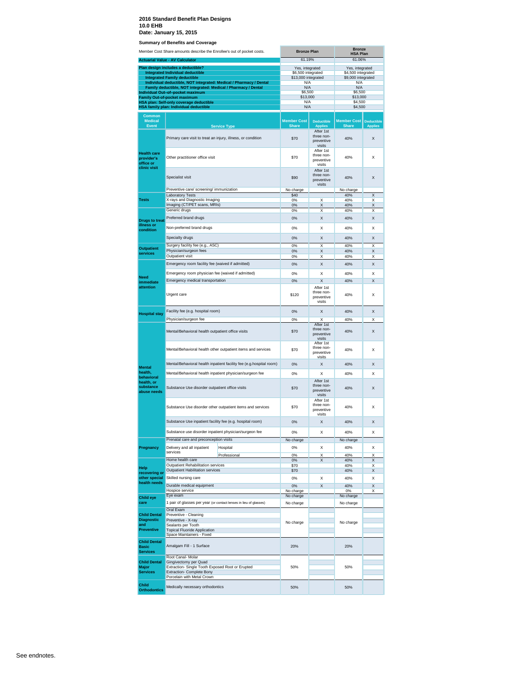|                                                               | Member Cost Share amounts describe the Enrollee's out of pocket costs.                             |                                                                     | <b>Bronze Plan</b>                        |                                                 | <b>Bronze</b><br><b>HSA Plan</b>         |                                     |
|---------------------------------------------------------------|----------------------------------------------------------------------------------------------------|---------------------------------------------------------------------|-------------------------------------------|-------------------------------------------------|------------------------------------------|-------------------------------------|
|                                                               | <b>Actuarial Value - AV Calculator</b>                                                             |                                                                     | 61.19%                                    |                                                 | 61.06%                                   |                                     |
|                                                               | Plan design includes a deductible?                                                                 |                                                                     | Yes, integrated                           |                                                 | Yes, integrated                          |                                     |
|                                                               | <b>Integrated Individual deductible</b><br><b>Integrated Family deductible</b>                     |                                                                     | \$6,500 integrated<br>\$13,000 integrated |                                                 | \$4,500 integrated<br>\$9,000 integrated |                                     |
|                                                               |                                                                                                    | Individual deductible, NOT integrated: Medical / Pharmacy / Dental  | N/A                                       |                                                 | N/A                                      |                                     |
|                                                               | Family deductible, NOT integrated: Medical / Pharmacy / Dental<br>Individual Out-of-pocket maximum |                                                                     | N/A<br>\$6,500                            |                                                 | N/A<br>\$6,500                           |                                     |
|                                                               | <b>Family Out-of-pocket maximum</b>                                                                |                                                                     | \$13,000                                  |                                                 | \$13,000                                 |                                     |
|                                                               | <b>HSA plan: Self-only coverage deductible</b><br>HSA family plan: Individual deductible           |                                                                     | N/A<br>N/A                                |                                                 | \$4,500<br>\$4,500                       |                                     |
|                                                               |                                                                                                    |                                                                     |                                           |                                                 |                                          |                                     |
| Common<br><b>Medical</b><br>Event                             |                                                                                                    | <b>Service Type</b>                                                 | <b>Member Cost</b><br><b>Share</b>        | <b>Deductible</b><br><b>Applies</b>             | <b>Member Cost</b><br><b>Share</b>       | <b>Deductible</b><br><b>Applies</b> |
|                                                               | Primary care visit to treat an injury, illness, or condition                                       |                                                                     | \$70                                      | After 1st<br>three non-<br>preventive<br>visits | 40%                                      | X                                   |
| <b>Health care</b><br>provider's<br>office or<br>clinic visit | Other practitioner office visit                                                                    |                                                                     | \$70                                      | After 1st<br>three non-<br>preventive<br>visits | 40%                                      | X                                   |
|                                                               | Specialist visit                                                                                   |                                                                     | \$90                                      | After 1st<br>three non-<br>preventive<br>visits | 40%                                      | X                                   |
|                                                               | Preventive care/ screening/ immunization                                                           |                                                                     | No charge<br>\$40                         |                                                 | No charge<br>40%                         | X                                   |
| <b>Tests</b>                                                  | <b>Laboratory Tests</b><br>X-rays and Diagnostic Imaging                                           |                                                                     | 0%                                        | X                                               | 40%                                      | X                                   |
|                                                               | Imaging (CT/PET scans, MRIs)                                                                       |                                                                     | 0%                                        | $\mathsf{x}$                                    | 40%                                      | X                                   |
|                                                               | Generic drugs                                                                                      |                                                                     | 0%                                        | X                                               | 40%                                      | X                                   |
| <b>Drugs to treat</b><br>illness or<br>condition              | Preferred brand drugs<br>Non-preferred brand drugs                                                 |                                                                     | 0%<br>0%                                  | X<br>Χ                                          | 40%<br>40%                               | X<br>X                              |
|                                                               | Specialty drugs                                                                                    |                                                                     | 0%                                        | X                                               | 40%                                      | X                                   |
|                                                               | Surgery facility fee (e.g., ASC)                                                                   |                                                                     | 0%                                        | Χ                                               | 40%                                      | Χ                                   |
| <b>Outpatient</b><br>services                                 | Physician/surgeon fees                                                                             |                                                                     | 0%                                        | X                                               | 40%                                      | X                                   |
|                                                               | Outpatient visit                                                                                   |                                                                     | 0%                                        | Χ                                               | 40%                                      | х                                   |
|                                                               | Emergency room facility fee (waived if admitted)                                                   |                                                                     | 0%                                        | X                                               | 40%                                      | X                                   |
| <b>Need</b>                                                   | Emergency room physician fee (waived if admitted)                                                  |                                                                     | 0%                                        | Χ                                               | 40%                                      | X                                   |
| immediate                                                     | Emergency medical transportation                                                                   |                                                                     | 0%                                        | $\overline{\mathsf{x}}$                         | 40%                                      | X                                   |
| attention                                                     | Urgent care                                                                                        |                                                                     | \$120                                     | After 1st<br>three non-<br>preventive<br>visits | 40%                                      | X                                   |
| <b>Hospital stay</b>                                          | Facility fee (e.g. hospital room)                                                                  |                                                                     | 0%                                        | X                                               | 40%                                      | X                                   |
|                                                               | Physician/surgeon fee                                                                              |                                                                     | 0%                                        | X                                               | 40%                                      | Χ                                   |
|                                                               | Mental/Behavioral health outpatient office visits                                                  |                                                                     | \$70                                      | After 1st<br>three non-<br>preventive<br>visits | 40%                                      | X                                   |
|                                                               |                                                                                                    | Mental/Behavioral health other outpatient items and services        | \$70                                      | After 1st<br>three non-<br>preventive<br>visits | 40%                                      | X                                   |
| <b>Mental</b>                                                 |                                                                                                    | Mental/Behavioral health inpatient facility fee (e.g.hospital room) | 0%                                        | X                                               | 40%                                      | X                                   |
| health,<br>behavioral                                         | Mental/Behavioral health inpatient physician/surgeon fee                                           |                                                                     | 0%                                        | Χ                                               | 40%                                      | X                                   |
| health, or<br>substance<br>abuse needs                        | Substance Use disorder outpatient office visits                                                    |                                                                     | \$70                                      | After 1st<br>three non-<br>preventive<br>visits | 40%                                      | X                                   |
|                                                               |                                                                                                    | Substance Use disorder other outpatient items and services          | \$70                                      | After 1st<br>three non-<br>preventive<br>visits | 40%                                      | X                                   |
|                                                               | Substance Use inpatient facility fee (e.g. hospital room)                                          |                                                                     | 0%                                        | X                                               | 40%                                      | X                                   |
|                                                               | Substance use disorder inpatient physician/surgeon fee                                             |                                                                     | 0%                                        | Χ                                               | 40%                                      | X                                   |
|                                                               | Prenatal care and preconception visits                                                             |                                                                     | No charge                                 |                                                 | No charge                                |                                     |
| Pregnancy                                                     | Delivery and all inpatient                                                                         | Hospital                                                            | 0%                                        | Χ                                               | 40%                                      | X                                   |
|                                                               | services                                                                                           | Professional                                                        | 0%                                        | X                                               | 40%                                      | X                                   |
|                                                               | Home health care<br>Outpatient Rehabilitation services                                             |                                                                     | $0\%$<br>\$70                             | X                                               | 40%<br>40%                               | X<br>X                              |
| Help<br>recovering or                                         | Outpatient Habilitation services                                                                   |                                                                     | \$70                                      |                                                 | 40%                                      | Χ                                   |
| other special                                                 | Skilled nursing care                                                                               |                                                                     | 0%                                        | Χ                                               | 40%                                      | X                                   |
| health needs                                                  | Durable medical equipment                                                                          |                                                                     | 0%                                        | X                                               | 40%                                      | X                                   |
|                                                               | Hospice service<br>Eye exam                                                                        |                                                                     | No charge<br>No charge                    |                                                 | 0%<br>No charge                          | X                                   |
| <b>Child eye</b><br>care                                      | 1 pair of glasses per year (or contact lenses in lieu of glasses)                                  |                                                                     | No charge                                 |                                                 | No charge                                |                                     |
|                                                               | Oral Exam                                                                                          |                                                                     |                                           |                                                 |                                          |                                     |
| <b>Child Dental</b>                                           | Preventive - Cleaning                                                                              |                                                                     |                                           |                                                 |                                          |                                     |
| <b>Diagnostic</b><br>and                                      | Preventive - X-ray<br>Sealants per Tooth                                                           |                                                                     | No charge                                 |                                                 | No charge                                |                                     |
| <b>Preventive</b>                                             | <b>Topical Fluoride Application</b>                                                                |                                                                     |                                           |                                                 |                                          |                                     |
| <b>Child Dental</b>                                           | Space Maintainers - Fixed                                                                          |                                                                     |                                           |                                                 |                                          |                                     |
| <b>Basic</b><br><b>Services</b>                               | Amalgam Fill - 1 Surface                                                                           |                                                                     | 20%                                       |                                                 | 20%                                      |                                     |
| <b>Child Dental</b>                                           | Root Canal- Molar<br>Gingivectomy per Quad                                                         |                                                                     |                                           |                                                 |                                          |                                     |
| Major                                                         | Extraction- Single Tooth Exposed Root or Erupted                                                   |                                                                     | 50%                                       |                                                 | 50%                                      |                                     |
| <b>Services</b>                                               | <b>Extraction- Complete Bony</b><br>Porcelain with Metal Crown                                     |                                                                     |                                           |                                                 |                                          |                                     |
| <b>Child</b><br><b>Orthodontics</b>                           | Medically necessary orthodontics                                                                   |                                                                     | 50%                                       |                                                 | 50%                                      |                                     |
|                                                               |                                                                                                    |                                                                     |                                           |                                                 |                                          |                                     |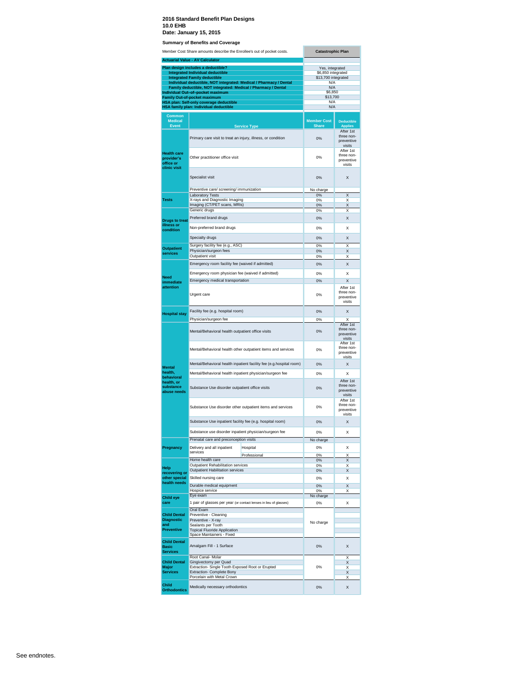**Summary of Benefits and Co** 

|                                                        | Member Cost Share amounts describe the Enrollee's out of pocket costs.<br><b>Actuarial Value - AV Calculator</b> | <b>Catastrophic Plan</b>           |                                                           |
|--------------------------------------------------------|------------------------------------------------------------------------------------------------------------------|------------------------------------|-----------------------------------------------------------|
|                                                        | Plan design includes a deductible?                                                                               | Yes, integrated                    |                                                           |
|                                                        | <b>Integrated Individual deductible</b>                                                                          | \$6,850 integrated                 |                                                           |
|                                                        | <b>Integrated Family deductible</b><br>Individual deductible, NOT integrated: Medical / Pharmacy / Dental        | \$13,700 integrated<br>N/A         |                                                           |
|                                                        | Family deductible, NOT integrated: Medical / Pharmacy / Dental                                                   | N/A                                |                                                           |
|                                                        | Individual Out-of-pocket maximum                                                                                 | \$6,850<br>\$13,700                |                                                           |
|                                                        | <b>Family Out-of-pocket maximum</b><br><b>HSA plan: Self-only coverage deductible</b>                            | N/A                                |                                                           |
|                                                        | HSA family plan: Individual deductible                                                                           | N/A                                |                                                           |
| Common                                                 |                                                                                                                  |                                    |                                                           |
| <b>Medical</b><br><b>Event</b>                         | <b>Service Type</b>                                                                                              | <b>Member Cost</b><br><b>Share</b> | <b>Deductible</b><br><b>Applies</b>                       |
|                                                        | Primary care visit to treat an injury, illness, or condition                                                     | 0%                                 | After 1st<br>three non-<br>preventive                     |
| <b>Health care</b><br>provider's<br>office or          | Other practitioner office visit                                                                                  | 0%                                 | visits<br>After 1st<br>three non-<br>preventive<br>visits |
| clinic visit                                           | Specialist visit                                                                                                 | 0%                                 | X                                                         |
|                                                        | Preventive care/ screening/ immunization                                                                         | No charge                          |                                                           |
|                                                        | <b>Laboratory Tests</b>                                                                                          | 0%                                 | X                                                         |
| <b>Tests</b>                                           | X-rays and Diagnostic Imaging<br>Imaging (CT/PET scans, MRIs)                                                    | 0%                                 | x<br>X                                                    |
|                                                        | Generic drugs                                                                                                    | 0%<br>0%                           | x                                                         |
|                                                        | Preferred brand drugs                                                                                            | 0%                                 | Х                                                         |
| <b>Drugs to treat</b><br>illness or                    |                                                                                                                  |                                    |                                                           |
| condition                                              | Non-preferred brand drugs                                                                                        | 0%                                 | x                                                         |
|                                                        | Specialty drugs                                                                                                  | 0%                                 | X                                                         |
| <b>Outpatient</b>                                      | Surgery facility fee (e.g., ASC)                                                                                 | 0%                                 | X                                                         |
| services                                               | Physician/surgeon fees<br>Outpatient visit                                                                       | 0%                                 | X<br>Х                                                    |
|                                                        |                                                                                                                  | 0%                                 |                                                           |
|                                                        | Emergency room facility fee (waived if admitted)                                                                 | 0%                                 | X                                                         |
| <b>Need</b>                                            | Emergency room physician fee (waived if admitted)                                                                | 0%                                 | Χ                                                         |
| immediate                                              | Emergency medical transportation                                                                                 | 0%                                 | X                                                         |
| attention                                              | Urgent care                                                                                                      | 0%                                 | After 1st<br>three non-<br>preventive<br>visits           |
|                                                        | Facility fee (e.g. hospital room)                                                                                | 0%                                 | X                                                         |
| <b>Hospital stay</b>                                   | Physician/surgeon fee                                                                                            | 0%                                 | x                                                         |
|                                                        | Mental/Behavioral health outpatient office visits                                                                | 0%                                 | After 1st<br>three non-<br>preventive<br>visits           |
|                                                        | Mental/Behavioral health other outpatient items and services                                                     | 0%                                 | After 1st<br>three non-<br>preventive<br>visits           |
|                                                        | Mental/Behavioral health inpatient facility fee (e.g.hospital room)                                              | 0%                                 | X                                                         |
| <b>Mental</b><br>health,                               |                                                                                                                  |                                    |                                                           |
| behavioral                                             | Mental/Behavioral health inpatient physician/surgeon fee                                                         | 0%                                 | x                                                         |
| health, or<br>substance<br>abuse needs                 | Substance Use disorder outpatient office visits                                                                  | 0%                                 | After 1st<br>three non-<br>preventive<br>visits           |
|                                                        | Substance Use disorder other outpatient items and services                                                       | 0%                                 | After 1st<br>three non-<br>preventive<br>visits           |
|                                                        | Substance Use inpatient facility fee (e.g. hospital room)                                                        | 0%                                 | X                                                         |
|                                                        | Substance use disorder inpatient physician/surgeon fee                                                           | 0%                                 | Χ                                                         |
|                                                        | Prenatal care and preconception visits                                                                           | No charge                          |                                                           |
| Pregnancy                                              | Delivery and all inpatient<br>Hospital                                                                           | 0%                                 | X                                                         |
|                                                        | services<br>Professional                                                                                         | 0%                                 | Χ                                                         |
|                                                        | Home health care                                                                                                 | 0%                                 | X                                                         |
| Help                                                   | Outpatient Rehabilitation services<br><b>Outpatient Habilitation services</b>                                    | 0%<br>0%                           | Χ<br>Χ                                                    |
| recovering or<br>other special                         | Skilled nursing care                                                                                             | 0%                                 | Χ                                                         |
| health needs                                           | Durable medical equipment                                                                                        | 0%                                 | Χ                                                         |
|                                                        | Hospice service                                                                                                  | 0%                                 | Х                                                         |
| <b>Child eye</b>                                       | Eye exam                                                                                                         | No charge                          |                                                           |
| care                                                   | 1 pair of glasses per year (or contact lenses in lieu of glasses)                                                | 0%                                 | Χ                                                         |
| <b>Child Dental</b>                                    | Oral Exam<br>Preventive - Cleaning                                                                               |                                    |                                                           |
| <b>Diagnostic</b>                                      | Preventive - X-ray                                                                                               |                                    |                                                           |
| and<br><b>Preventive</b>                               | Sealants per Tooth                                                                                               | No charge                          |                                                           |
|                                                        | <b>Topical Fluoride Application</b><br>Space Maintainers - Fixed                                                 |                                    |                                                           |
| <b>Child Dental</b><br><b>Basic</b><br><b>Services</b> | Amalgam Fill - 1 Surface                                                                                         | 0%                                 | X                                                         |
|                                                        | Root Canal- Molar                                                                                                |                                    | Χ                                                         |
| <b>Child Dental</b><br>Major                           | Gingivectomy per Quad<br>Extraction- Single Tooth Exposed Root or Erupted                                        | 0%                                 | X<br>X                                                    |
| <b>Services</b>                                        | <b>Extraction- Complete Bony</b>                                                                                 |                                    | X                                                         |
|                                                        | Porcelain with Metal Crown                                                                                       |                                    | Χ                                                         |
| Child<br><b>Orthodontics</b>                           | Medically necessary orthodontics                                                                                 | 0%                                 | X                                                         |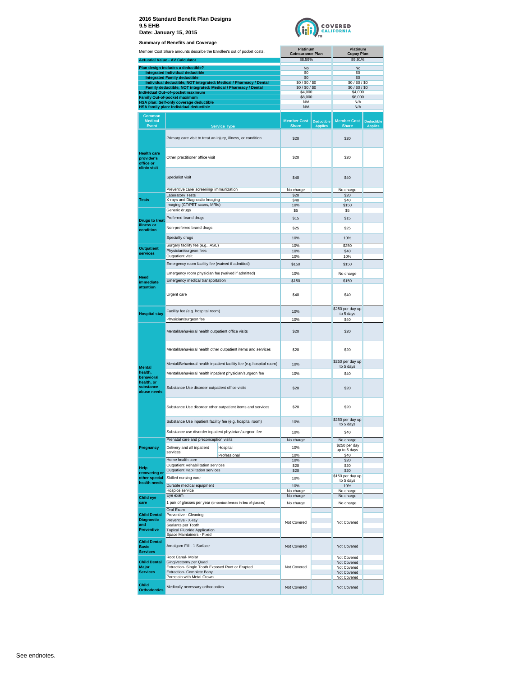



|                                          | <b>Summary of Benefits and Coverage</b>                                                            |                                                                     |                                   |                                     |                                    |                                     |
|------------------------------------------|----------------------------------------------------------------------------------------------------|---------------------------------------------------------------------|-----------------------------------|-------------------------------------|------------------------------------|-------------------------------------|
|                                          | Member Cost Share amounts describe the Enrollee's out of pocket costs.                             |                                                                     | Platinum                          |                                     | Platinum                           |                                     |
|                                          |                                                                                                    |                                                                     | <b>Coinsurance Plan</b><br>88.59% |                                     | <b>Copay Plan</b><br>89.91%        |                                     |
|                                          | <b>Actuarial Value - AV Calculator</b>                                                             |                                                                     |                                   |                                     |                                    |                                     |
|                                          | Plan design includes a deductible?<br><b>Integrated Individual deductible</b>                      |                                                                     | No<br>\$0                         |                                     | No<br>\$0                          |                                     |
|                                          | <b>Integrated Family deductible</b>                                                                |                                                                     | \$0                               |                                     | \$0                                |                                     |
|                                          |                                                                                                    | Individual deductible, NOT integrated: Medical / Pharmacy / Dental  | \$0/\$0/\$0                       |                                     | \$0/\$0/\$0                        |                                     |
|                                          | Family deductible, NOT integrated: Medical / Pharmacy / Dental<br>Individual Out-of-pocket maximum |                                                                     | \$0/\$0/\$0<br>\$4,000            |                                     | \$0/\$0/\$0/\$0<br>\$4,000         |                                     |
|                                          | <b>Family Out-of-pocket maximum</b>                                                                |                                                                     | \$8,000                           |                                     | \$8,000                            |                                     |
|                                          | HSA plan: Self-only coverage deductible                                                            |                                                                     | N/A                               |                                     | N/A                                |                                     |
|                                          | HSA family plan: Individual deductible                                                             |                                                                     | N/A                               |                                     | N/A                                |                                     |
| <b>Common</b>                            |                                                                                                    |                                                                     |                                   |                                     |                                    |                                     |
| <b>Medical</b><br>Event                  |                                                                                                    | <b>Service Type</b>                                                 | <b>Member Cost</b><br>Share       | <b>Deductible</b><br><b>Applies</b> | <b>Member Cost</b><br><b>Share</b> | <b>Deductible</b><br><b>Applies</b> |
|                                          |                                                                                                    |                                                                     |                                   |                                     |                                    |                                     |
|                                          | Primary care visit to treat an injury, illness, or condition                                       |                                                                     | \$20                              |                                     | \$20                               |                                     |
|                                          |                                                                                                    |                                                                     |                                   |                                     |                                    |                                     |
| <b>Health care</b>                       |                                                                                                    |                                                                     |                                   |                                     |                                    |                                     |
| provider's                               | Other practitioner office visit                                                                    |                                                                     | \$20                              |                                     | \$20                               |                                     |
| office or                                |                                                                                                    |                                                                     |                                   |                                     |                                    |                                     |
| clinic visit                             |                                                                                                    |                                                                     |                                   |                                     |                                    |                                     |
|                                          | Specialist visit                                                                                   |                                                                     | \$40                              |                                     | \$40                               |                                     |
|                                          |                                                                                                    |                                                                     |                                   |                                     |                                    |                                     |
|                                          | Preventive care/ screening/ immunization                                                           |                                                                     | No charge                         |                                     | No charge                          |                                     |
| <b>Tests</b>                             | <b>Laboratory Tests</b><br>X-rays and Diagnostic Imaging                                           |                                                                     | \$20<br>\$40                      |                                     | \$20<br>\$40                       |                                     |
|                                          | Imaging (CT/PET scans, MRIs)                                                                       |                                                                     | 10%                               |                                     | \$150                              |                                     |
|                                          | Generic drugs                                                                                      |                                                                     | \$5                               |                                     | \$5                                |                                     |
| <b>Drugs to treat</b>                    | Preferred brand drugs                                                                              |                                                                     | \$15                              |                                     | \$15                               |                                     |
| illness or                               | Non-preferred brand drugs                                                                          |                                                                     | \$25                              |                                     | \$25                               |                                     |
| condition                                |                                                                                                    |                                                                     |                                   |                                     |                                    |                                     |
|                                          | Specialty drugs                                                                                    |                                                                     | 10%                               |                                     | 10%                                |                                     |
| <b>Outpatient</b>                        | Surgery facility fee (e.g., ASC)                                                                   |                                                                     | 10%                               |                                     | \$250                              |                                     |
| services                                 | Physician/surgeon fees                                                                             |                                                                     | 10%                               |                                     | \$40                               |                                     |
|                                          | Outpatient visit                                                                                   |                                                                     | 10%                               |                                     | 10%                                |                                     |
|                                          | Emergency room facility fee (waived if admitted)                                                   |                                                                     | \$150                             |                                     | \$150                              |                                     |
|                                          | Emergency room physician fee (waived if admitted)                                                  |                                                                     | 10%                               |                                     | No charge                          |                                     |
| Need                                     | Emergency medical transportation                                                                   |                                                                     | \$150                             |                                     | \$150                              |                                     |
| immediate<br>attention                   |                                                                                                    |                                                                     |                                   |                                     |                                    |                                     |
|                                          | Urgent care                                                                                        |                                                                     | \$40                              |                                     | \$40                               |                                     |
|                                          |                                                                                                    |                                                                     |                                   |                                     |                                    |                                     |
|                                          |                                                                                                    |                                                                     |                                   |                                     | \$250 per day up                   |                                     |
| <b>Hospital stay</b>                     | Facility fee (e.g. hospital room)                                                                  |                                                                     | 10%                               |                                     | to 5 days                          |                                     |
|                                          | Physician/surgeon fee                                                                              |                                                                     | 10%                               |                                     | \$40                               |                                     |
|                                          |                                                                                                    |                                                                     |                                   |                                     |                                    |                                     |
|                                          | Mental/Behavioral health outpatient office visits                                                  |                                                                     | \$20                              |                                     | \$20                               |                                     |
|                                          |                                                                                                    |                                                                     |                                   |                                     |                                    |                                     |
|                                          |                                                                                                    | Mental/Behavioral health other outpatient items and services        | \$20                              |                                     | \$20                               |                                     |
|                                          |                                                                                                    |                                                                     |                                   |                                     |                                    |                                     |
|                                          |                                                                                                    | Mental/Behavioral health inpatient facility fee (e.g.hospital room) | 10%                               |                                     | \$250 per day up                   |                                     |
| <b>Mental</b>                            |                                                                                                    |                                                                     |                                   |                                     | to 5 days                          |                                     |
| health.<br>behavioral                    | Mental/Behavioral health inpatient physician/surgeon fee                                           |                                                                     | 10%                               |                                     | \$40                               |                                     |
| health, or                               |                                                                                                    |                                                                     |                                   |                                     |                                    |                                     |
| substance                                | Substance Use disorder outpatient office visits                                                    |                                                                     | \$20                              |                                     | \$20                               |                                     |
| abuse needs                              |                                                                                                    |                                                                     |                                   |                                     |                                    |                                     |
|                                          |                                                                                                    |                                                                     |                                   |                                     |                                    |                                     |
|                                          |                                                                                                    | Substance Use disorder other outpatient items and services          | \$20                              |                                     | \$20                               |                                     |
|                                          |                                                                                                    |                                                                     |                                   |                                     |                                    |                                     |
|                                          | Substance Use inpatient facility fee (e.g. hospital room)                                          |                                                                     | 10%                               |                                     | \$250 per day up<br>to 5 days      |                                     |
|                                          | Substance use disorder inpatient physician/surgeon fee                                             |                                                                     |                                   |                                     |                                    |                                     |
|                                          | Prenatal care and preconception visits                                                             |                                                                     | 10%                               |                                     | \$40                               |                                     |
|                                          |                                                                                                    |                                                                     | No charge                         |                                     | No charge<br>\$250 per day         |                                     |
| Pregnancy                                | Delivery and all inpatient<br>services                                                             | Hospital                                                            | 10%                               |                                     | up to 5 days                       |                                     |
|                                          | Home health care                                                                                   | Professional                                                        | 10%<br>10%                        |                                     | \$40<br>\$20                       |                                     |
|                                          | Outpatient Rehabilitation services                                                                 |                                                                     | \$20                              |                                     | \$20                               |                                     |
| Help<br>recovering or                    | Outpatient Habilitation services                                                                   |                                                                     | \$20                              |                                     | \$20                               |                                     |
| other special                            | Skilled nursing care                                                                               |                                                                     | 10%                               |                                     | \$150 per day up                   |                                     |
| health needs                             | Durable medical equipment                                                                          |                                                                     | 10%                               |                                     | to 5 days<br>10%                   |                                     |
|                                          | Hospice service                                                                                    |                                                                     | No charge                         |                                     | No charge                          |                                     |
| <b>Child eye</b>                         | Eye exam                                                                                           |                                                                     | No charge                         |                                     | No charge                          |                                     |
| care                                     | 1 pair of glasses per year (or contact lenses in lieu of glasses)                                  |                                                                     | No charge                         |                                     | No charge                          |                                     |
|                                          | Oral Exam                                                                                          |                                                                     |                                   |                                     |                                    |                                     |
| <b>Child Dental</b><br><b>Diagnostic</b> | Preventive - Cleaning<br>Preventive - X-ray                                                        |                                                                     |                                   |                                     |                                    |                                     |
| and                                      | Sealants per Tooth                                                                                 |                                                                     | Not Covered                       |                                     | Not Covered                        |                                     |
| <b>Preventive</b>                        | <b>Topical Fluoride Application</b>                                                                |                                                                     |                                   |                                     |                                    |                                     |
|                                          | Space Maintainers - Fixed                                                                          |                                                                     |                                   |                                     |                                    |                                     |
| <b>Child Dental</b><br><b>Basic</b>      | Amalgam Fill - 1 Surface                                                                           |                                                                     | Not Covered                       |                                     | Not Covered                        |                                     |
| <b>Services</b>                          |                                                                                                    |                                                                     |                                   |                                     |                                    |                                     |
|                                          | Root Canal- Molar                                                                                  |                                                                     |                                   |                                     | Not Covered                        |                                     |
| <b>Child Dental</b><br><b>Major</b>      | Gingivectomy per Quad<br>Extraction- Single Tooth Exposed Root or Erupted                          |                                                                     | Not Covered                       |                                     | Not Covered<br>Not Covered         |                                     |
| <b>Services</b>                          | Extraction- Complete Bony                                                                          |                                                                     |                                   |                                     | Not Covered                        |                                     |
|                                          | Porcelain with Metal Crown                                                                         |                                                                     |                                   |                                     | Not Covered                        |                                     |
| <b>Child</b><br><b>Orthodontics</b>      | Medically necessary orthodontics                                                                   |                                                                     | Not Covered                       |                                     | Not Covered                        |                                     |
|                                          |                                                                                                    |                                                                     |                                   |                                     |                                    |                                     |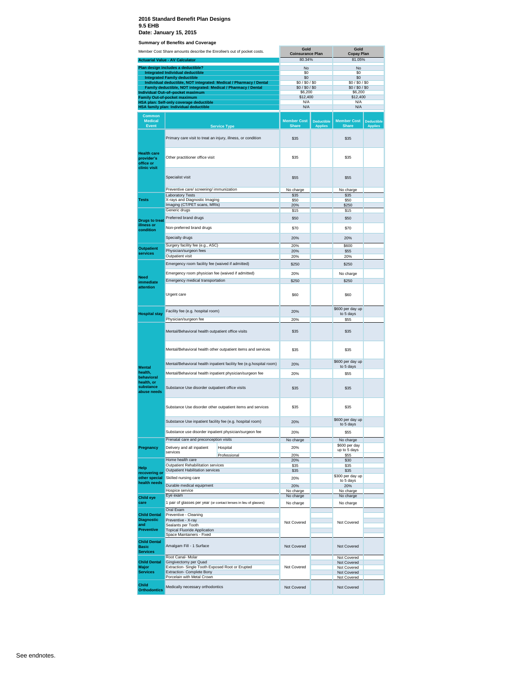|                                                      | Julillialy Of Defielits and Coverage<br>Member Cost Share amounts describe the Enrollee's out of pocket costs. |                                                                     | Gold                               |                                     | Gold                               |                                     |
|------------------------------------------------------|----------------------------------------------------------------------------------------------------------------|---------------------------------------------------------------------|------------------------------------|-------------------------------------|------------------------------------|-------------------------------------|
|                                                      |                                                                                                                |                                                                     | <b>Coinsurance Plan</b><br>80.34%  |                                     | <b>Copay Plan</b><br>81.05%        |                                     |
|                                                      | <b>Actuarial Value - AV Calculator</b><br>Plan design includes a deductible?                                   |                                                                     |                                    |                                     |                                    |                                     |
|                                                      | <b>Integrated Individual deductible</b>                                                                        |                                                                     | No<br>S0                           |                                     | <b>No</b><br>\$0                   |                                     |
|                                                      | <b>Integrated Family deductible</b>                                                                            | Individual deductible, NOT integrated: Medical / Pharmacy / Dental  | \$0<br>\$0/\$0/\$0                 |                                     | \$0<br>\$0/\$0/\$0                 |                                     |
|                                                      | Family deductible, NOT integrated: Medical / Pharmacy / Dental                                                 |                                                                     | \$0/\$0/\$0                        |                                     | \$0/\$0/\$0                        |                                     |
|                                                      | Individual Out-of-pocket maximum<br><b>Family Out-of-pocket maximum</b>                                        |                                                                     | \$6,200<br>\$12,400                |                                     | \$6,200<br>\$12,400                |                                     |
|                                                      | HSA plan: Self-only coverage deductible                                                                        |                                                                     | N/A<br>N/A                         |                                     | N/A<br>N/A                         |                                     |
|                                                      | HSA family plan: Individual deductible                                                                         |                                                                     |                                    |                                     |                                    |                                     |
| <b>Common</b><br><b>Medical</b><br><b>Event</b>      |                                                                                                                | <b>Service Type</b>                                                 | <b>Member Cost</b><br><b>Share</b> | <b>Deductible</b><br><b>Applies</b> | <b>Member Cost</b><br><b>Share</b> | <b>Deductible</b><br><b>Applies</b> |
|                                                      |                                                                                                                |                                                                     |                                    |                                     |                                    |                                     |
| <b>Health care</b><br>provider's<br>office or        | Primary care visit to treat an injury, illness, or condition<br>Other practitioner office visit                |                                                                     | \$35<br>\$35                       |                                     | \$35<br>\$35                       |                                     |
| clinic visit                                         | Specialist visit                                                                                               |                                                                     | <b>\$55</b>                        |                                     | \$55                               |                                     |
|                                                      | Preventive care/ screening/ immunization                                                                       |                                                                     | No charge                          |                                     | No charge                          |                                     |
|                                                      | <b>Laboratory Tests</b>                                                                                        |                                                                     | <b>\$35</b>                        |                                     | \$35                               |                                     |
| Tests                                                | X-rays and Diagnostic Imaging<br>Imaging (CT/PET scans, MRIs)                                                  |                                                                     | \$50<br>20%                        |                                     | \$50<br>\$250                      |                                     |
|                                                      | Generic drugs                                                                                                  |                                                                     | \$15                               |                                     | \$15                               |                                     |
| <b>Drugs to treat</b>                                | Preferred brand drugs                                                                                          |                                                                     | \$50                               |                                     | \$50                               |                                     |
| illness or<br>condition                              | Non-preferred brand drugs                                                                                      |                                                                     | \$70                               |                                     | \$70                               |                                     |
|                                                      | Specialty drugs                                                                                                |                                                                     | 20%                                |                                     | 20%                                |                                     |
| <b>Outpatient</b>                                    | Surgery facility fee (e.g., ASC)<br>Physician/surgeon fees                                                     |                                                                     | 20%<br>20%                         |                                     | \$600<br>\$55                      |                                     |
| services                                             | Outpatient visit                                                                                               |                                                                     | 20%                                |                                     | 20%                                |                                     |
|                                                      | Emergency room facility fee (waived if admitted)                                                               |                                                                     | \$250                              |                                     | \$250                              |                                     |
|                                                      | Emergency room physician fee (waived if admitted)                                                              |                                                                     | 20%                                |                                     | No charge                          |                                     |
| <b>Need</b><br>immediate                             | Emergency medical transportation                                                                               |                                                                     | \$250                              |                                     | \$250                              |                                     |
| attention                                            | Urgent care                                                                                                    |                                                                     | \$60                               |                                     | \$60                               |                                     |
|                                                      | Facility fee (e.g. hospital room)                                                                              |                                                                     | 20%                                |                                     | \$600 per day up                   |                                     |
| <b>Hospital stay</b>                                 | Physician/surgeon fee                                                                                          |                                                                     | 20%                                |                                     | to 5 days<br>\$55                  |                                     |
|                                                      | Mental/Behavioral health outpatient office visits                                                              |                                                                     | \$35                               |                                     | <b>\$35</b>                        |                                     |
|                                                      |                                                                                                                | Mental/Behavioral health other outpatient items and services        | <b>\$35</b>                        |                                     | \$35                               |                                     |
| <b>Mental</b>                                        |                                                                                                                | Mental/Behavioral health inpatient facility fee (e.g.hospital room) | 20%                                |                                     | \$600 per day up<br>to 5 days      |                                     |
| health.                                              | Mental/Behavioral health inpatient physician/surgeon fee                                                       |                                                                     | 20%                                |                                     | <b>\$55</b>                        |                                     |
| behavioral<br>health, or<br>substance<br>abuse needs | Substance Use disorder outpatient office visits                                                                |                                                                     | \$35                               |                                     | \$35                               |                                     |
|                                                      |                                                                                                                | Substance Use disorder other outpatient items and services          | \$35                               |                                     | \$35                               |                                     |
|                                                      | Substance Use inpatient facility fee (e.g. hospital room)                                                      |                                                                     | 20%                                |                                     | \$600 per day up<br>to 5 days      |                                     |
|                                                      | Substance use disorder inpatient physician/surgeon fee                                                         |                                                                     | 20%                                |                                     | <b>\$55</b>                        |                                     |
|                                                      | Prenatal care and preconception visits                                                                         |                                                                     | No charge                          |                                     | No charge                          |                                     |
| Pregnancy                                            | Delivery and all inpatient<br>services                                                                         | Hospital                                                            | 20%                                |                                     | \$600 per day<br>up to 5 days      |                                     |
|                                                      | Home health care                                                                                               | Professional                                                        | 20%<br>20%                         |                                     | \$55<br>\$30                       |                                     |
| Help                                                 | Outpatient Rehabilitation services                                                                             |                                                                     | <b>\$35</b>                        |                                     | \$35                               |                                     |
| recovering or                                        | <b>Outpatient Habilitation services</b>                                                                        |                                                                     | \$35                               |                                     | \$35<br>\$300 per day up           |                                     |
| other special<br>health needs                        | Skilled nursing care                                                                                           |                                                                     | 20%                                |                                     | to 5 days                          |                                     |
|                                                      | Durable medical equipment<br>Hospice service                                                                   |                                                                     | 20%<br>No charge                   |                                     | 20%<br>No charge                   |                                     |
| <b>Child eye</b>                                     | Eye exam                                                                                                       |                                                                     | No charge                          |                                     | No charge                          |                                     |
| care                                                 | 1 pair of glasses per year (or contact lenses in lieu of glasses)                                              |                                                                     | No charge                          |                                     | No charge                          |                                     |
| <b>Child Dental</b>                                  | Oral Exam<br>Preventive - Cleaning                                                                             |                                                                     |                                    |                                     |                                    |                                     |
| <b>Diagnostic</b>                                    | Preventive - X-ray                                                                                             |                                                                     | Not Covered                        |                                     | Not Covered                        |                                     |
| and<br><b>Preventive</b>                             | Sealants per Tooth<br><b>Topical Fluoride Application</b>                                                      |                                                                     |                                    |                                     |                                    |                                     |
| <b>Child Dental</b><br><b>Basic</b>                  | Space Maintainers - Fixed<br>Amalgam Fill - 1 Surface                                                          |                                                                     | Not Covered                        |                                     | Not Covered                        |                                     |
| <b>Services</b>                                      |                                                                                                                |                                                                     |                                    |                                     |                                    |                                     |
| <b>Child Dental</b>                                  | Root Canal- Molar<br>Gingivectomy per Quad                                                                     |                                                                     |                                    |                                     | Not Covered<br>Not Covered         |                                     |
| Major<br><b>Services</b>                             | Extraction- Single Tooth Exposed Root or Erupted<br>Extraction- Complete Bony                                  |                                                                     | Not Covered                        |                                     | Not Covered<br>Not Covered         |                                     |
|                                                      | Porcelain with Metal Crown                                                                                     |                                                                     |                                    |                                     | Not Covered                        |                                     |
| Child<br><b>Orthodontics</b>                         | Medically necessary orthodontics                                                                               |                                                                     | Not Covered                        |                                     | Not Covered                        |                                     |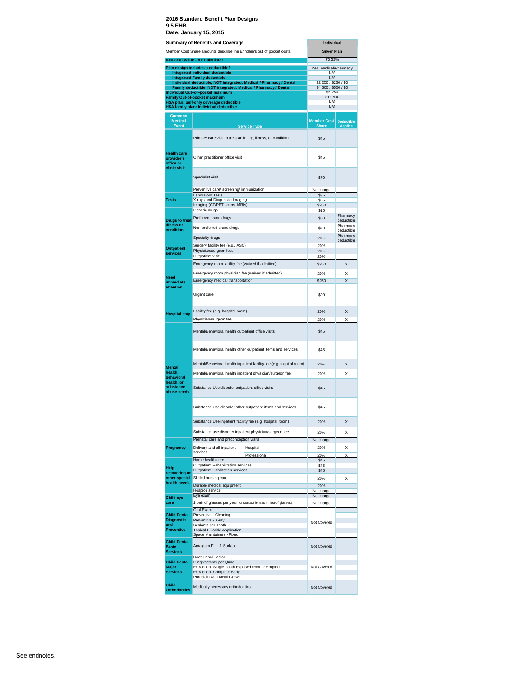|                                                               | Member Cost Share amounts describe the Enrollee's out of pocket costs.                                                               | <b>Silver Plan</b>                             |                                     |
|---------------------------------------------------------------|--------------------------------------------------------------------------------------------------------------------------------------|------------------------------------------------|-------------------------------------|
|                                                               | <b>Actuarial Value - AV Calculator</b>                                                                                               | 70.53%                                         |                                     |
|                                                               | Plan design includes a deductible?<br><b>Integrated Individual deductible</b>                                                        | Yes, Medical/Pharmacy<br>N/A                   |                                     |
|                                                               | <b>Integrated Family deductible</b>                                                                                                  | N/A                                            |                                     |
|                                                               | Individual deductible, NOT integrated: Medical / Pharmacy / Dental<br>Family deductible, NOT integrated: Medical / Pharmacy / Dental | \$2,250 / \$250 / \$0<br>\$4,500 / \$500 / \$0 |                                     |
|                                                               | Individual Out-of-pocket maximum                                                                                                     | <b>\$6.250</b>                                 |                                     |
|                                                               | <b>Family Out-of-pocket maximum</b><br>HSA plan: Self-only coverage deductible                                                       | \$12,500<br>N/A                                |                                     |
|                                                               | HSA family plan: Individual deductible                                                                                               | N/A                                            |                                     |
| Common<br><b>Medical</b><br>Event                             | <b>Service Type</b>                                                                                                                  | <b>Member Cost</b><br><b>Share</b>             | <b>Deductible</b><br><b>Applies</b> |
|                                                               | Primary care visit to treat an injury, illness, or condition                                                                         | \$45                                           |                                     |
| <b>Health care</b><br>provider's<br>office or<br>clinic visit | Other practitioner office visit                                                                                                      | \$45                                           |                                     |
|                                                               | Specialist visit                                                                                                                     | \$70                                           |                                     |
|                                                               | Preventive care/ screening/ immunization                                                                                             | No charge                                      |                                     |
| <b>Tests</b>                                                  | <b>Laboratory Tests</b><br>X-rays and Diagnostic Imaging                                                                             | \$35<br>\$65                                   |                                     |
|                                                               | Imaging (CT/PET scans, MRIs)                                                                                                         | \$250                                          |                                     |
|                                                               | Generic drugs                                                                                                                        | \$15                                           | Pharmacy                            |
| <b>Drugs to treat</b>                                         | Preferred brand drugs                                                                                                                | \$50                                           | deductible                          |
| illness or<br>condition                                       | Non-preferred brand drugs                                                                                                            | \$70                                           | Pharmacy<br>deductible              |
|                                                               | Specialty drugs                                                                                                                      | 20%                                            | Pharmacy                            |
|                                                               | Surgery facility fee (e.g., ASC)                                                                                                     | 20%                                            | deductible                          |
| <b>Outpatient</b><br>services                                 | Physician/surgeon fees                                                                                                               | 20%                                            |                                     |
|                                                               | Outpatient visit                                                                                                                     | 20%                                            |                                     |
|                                                               | Emergency room facility fee (waived if admitted)                                                                                     | \$250                                          | X                                   |
| <b>Need</b><br>immediate                                      | Emergency room physician fee (waived if admitted)<br>Emergency medical transportation                                                | 20%<br>\$250                                   | Χ<br>$\overline{\mathsf{x}}$        |
| attention                                                     | Urgent care                                                                                                                          | \$90                                           |                                     |
|                                                               | Facility fee (e.g. hospital room)                                                                                                    | 20%                                            | X                                   |
| <b>Hospital stay</b>                                          | Physician/surgeon fee                                                                                                                | 20%                                            | X                                   |
|                                                               | Mental/Behavioral health outpatient office visits                                                                                    | \$45                                           |                                     |
|                                                               | Mental/Behavioral health other outpatient items and services                                                                         | \$45                                           |                                     |
|                                                               | Mental/Behavioral health inpatient facility fee (e.g.hospital room)                                                                  | 20%                                            | $\mathsf{x}$                        |
| <b>Mental</b><br>health,                                      | Mental/Behavioral health inpatient physician/surgeon fee                                                                             | 20%                                            | Χ                                   |
| behavioral<br>health, or<br>substance<br>abuse needs          | Substance Use disorder outpatient office visits                                                                                      | \$45                                           |                                     |
|                                                               | Substance Use disorder other outpatient items and services                                                                           | \$45                                           |                                     |
|                                                               | Substance Use inpatient facility fee (e.g. hospital room)                                                                            | 20%                                            | X                                   |
|                                                               | Substance use disorder inpatient physician/surgeon fee                                                                               | 20%                                            | X                                   |
|                                                               | Prenatal care and preconception visits                                                                                               | No charge                                      |                                     |
| Pregnancy                                                     | Delivery and all inpatient<br>Hospital                                                                                               | 20%                                            | X                                   |
|                                                               | services<br>Professional                                                                                                             | 20%                                            | Χ                                   |
|                                                               | Home health care<br>Outpatient Rehabilitation services                                                                               | \$45<br>\$45                                   |                                     |
| Help<br>recovering or                                         | <b>Outpatient Habilitation services</b>                                                                                              | \$45                                           |                                     |
| other special                                                 | Skilled nursing care                                                                                                                 | 20%                                            | X                                   |
| health needs                                                  | Durable medical equipment                                                                                                            | 20%                                            |                                     |
|                                                               | Hospice service<br>Eye exam                                                                                                          | No charge<br>No charge                         |                                     |
| <b>Child eye</b><br>care                                      | 1 pair of glasses per year (or contact lenses in lieu of glasses)                                                                    | No charge                                      |                                     |
|                                                               | Oral Exam                                                                                                                            |                                                |                                     |
| <b>Child Dental</b><br><b>Diagnostic</b>                      | Preventive - Cleaning<br>Preventive - X-ray                                                                                          |                                                |                                     |
| and                                                           | Sealants per Tooth                                                                                                                   | Not Covered                                    |                                     |
| <b>Preventive</b>                                             | <b>Topical Fluoride Application</b><br>Space Maintainers - Fixed                                                                     |                                                |                                     |
| <b>Child Dental</b><br><b>Basic</b>                           | Amalgam Fill - 1 Surface                                                                                                             | Not Covered                                    |                                     |
| <b>Services</b>                                               | Root Canal- Molar                                                                                                                    |                                                |                                     |
| <b>Child Dental</b>                                           | Gingivectomy per Quad                                                                                                                |                                                |                                     |
| Major                                                         | Extraction-Single Tooth Exposed Root or Erupted                                                                                      | Not Covered                                    |                                     |
|                                                               |                                                                                                                                      |                                                |                                     |
| <b>Services</b>                                               | Extraction- Complete Bony<br>Porcelain with Metal Crown                                                                              |                                                |                                     |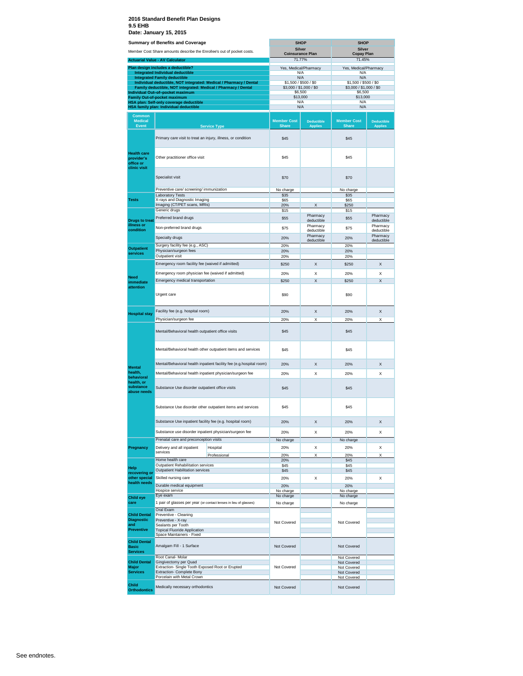|                                                               | <b>Summary of Benefits and Coverage</b>                                                            |                                                                        | <b>SHOP</b>                                      |                         | <b>SHOP</b>                        |                                                                 |
|---------------------------------------------------------------|----------------------------------------------------------------------------------------------------|------------------------------------------------------------------------|--------------------------------------------------|-------------------------|------------------------------------|-----------------------------------------------------------------|
|                                                               |                                                                                                    | Member Cost Share amounts describe the Enrollee's out of pocket costs. | <b>Silver</b><br><b>Coinsurance Plan</b>         |                         | <b>Silver</b><br><b>Copay Plan</b> |                                                                 |
|                                                               | <b>Actuarial Value - AV Calculator</b>                                                             |                                                                        | 71.77%                                           |                         | 71.45%                             |                                                                 |
|                                                               | Plan design includes a deductible?                                                                 |                                                                        | Yes, Medical/Pharmacy                            |                         | Yes, Medical/Pharmacy              |                                                                 |
|                                                               | <b>Integrated Individual deductible</b><br><b>Integrated Family deductible</b>                     |                                                                        | N/A<br>N/A                                       |                         | N/A<br>N/A                         |                                                                 |
|                                                               |                                                                                                    | Individual deductible, NOT integrated: Medical / Pharmacy / Dental     | \$1,500 / \$500 / \$0<br>\$3,000 / \$1,000 / \$0 |                         | \$1,500 / \$500 / \$0              |                                                                 |
|                                                               | Family deductible, NOT integrated: Medical / Pharmacy / Dental<br>Individual Out-of-pocket maximum |                                                                        |                                                  | \$6,500                 | \$3,000 / \$1,000 / \$0<br>\$6,500 |                                                                 |
|                                                               | <b>Family Out-of-pocket maximum</b><br><b>HSA plan: Self-only coverage deductible</b>              |                                                                        | \$13,000<br>N/A                                  |                         | \$13,000<br>N/A                    |                                                                 |
|                                                               | HSA family plan: Individual deductible                                                             |                                                                        | N/A                                              |                         | N/A                                |                                                                 |
| <b>Common</b><br><b>Medical</b>                               |                                                                                                    |                                                                        | <b>Member Cost</b><br><b>Share</b>               | <b>Deductible</b>       | <b>Member Cost</b><br><b>Share</b> | <b>Deductible</b>                                               |
| Event                                                         |                                                                                                    | <b>Service Type</b>                                                    |                                                  | <b>Applies</b>          |                                    | <b>Applies</b>                                                  |
|                                                               | Primary care visit to treat an injury, illness, or condition                                       |                                                                        | \$45                                             |                         | \$45                               |                                                                 |
| <b>Health care</b><br>provider's<br>office or<br>clinic visit | Other practitioner office visit                                                                    |                                                                        | \$45                                             |                         | \$45                               |                                                                 |
|                                                               | Specialist visit                                                                                   |                                                                        | \$70                                             |                         | \$70                               |                                                                 |
|                                                               | Preventive care/ screening/ immunization                                                           |                                                                        | No charge                                        |                         | No charge                          |                                                                 |
| <b>Tests</b>                                                  | <b>Laboratory Tests</b><br>X-rays and Diagnostic Imaging                                           |                                                                        | \$35<br>\$65                                     |                         | \$35<br>\$65                       |                                                                 |
|                                                               | Imaging (CT/PET scans, MRIs)                                                                       |                                                                        | 20%                                              | X                       | \$250                              |                                                                 |
|                                                               | Generic drugs                                                                                      |                                                                        | \$15                                             | Pharmacy                | \$15                               |                                                                 |
| <b>Drugs to treat</b>                                         | Preferred brand drugs                                                                              |                                                                        | \$55                                             | deductible              | \$55                               | deductible                                                      |
| illness or<br>condition                                       | Non-preferred brand drugs                                                                          |                                                                        | \$75                                             | Pharmacy<br>deductible  | \$75                               | Pharmacy                                                        |
|                                                               | Specialty drugs                                                                                    |                                                                        | 20%                                              | Pharmacy                | 20%                                | Pharmacy<br>deductible<br>Pharmacy<br>deductible<br>X<br>Χ<br>X |
|                                                               | Surgery facility fee (e.g., ASC)                                                                   |                                                                        | 20%                                              | deductible              | 20%                                |                                                                 |
| <b>Outpatient</b><br>services                                 | Physician/surgeon fees                                                                             |                                                                        | 20%                                              |                         | 20%                                |                                                                 |
|                                                               | Outpatient visit                                                                                   |                                                                        | 20%                                              |                         | 20%                                |                                                                 |
|                                                               | Emergency room facility fee (waived if admitted)                                                   |                                                                        | \$250                                            | X                       | \$250                              |                                                                 |
|                                                               | Emergency room physician fee (waived if admitted)                                                  |                                                                        | 20%                                              | Χ                       | 20%                                |                                                                 |
| Need<br>immediate                                             | Emergency medical transportation                                                                   |                                                                        | \$250                                            | $\overline{\mathsf{x}}$ | \$250                              |                                                                 |
| attention                                                     | Urgent care                                                                                        |                                                                        | \$90                                             |                         | \$90                               |                                                                 |
|                                                               | Facility fee (e.g. hospital room)                                                                  |                                                                        | 20%                                              | Χ                       | 20%                                | X                                                               |
| <b>Hospital stay</b>                                          | Physician/surgeon fee                                                                              |                                                                        | 20%                                              | Χ                       | 20%                                | Χ                                                               |
|                                                               | Mental/Behavioral health outpatient office visits                                                  |                                                                        | \$45                                             |                         | \$45                               |                                                                 |
|                                                               | Mental/Behavioral health other outpatient items and services                                       |                                                                        | \$45                                             |                         | \$45                               |                                                                 |
| <b>Mental</b>                                                 | Mental/Behavioral health inpatient facility fee (e.g.hospital room)                                |                                                                        | 20%                                              | Χ                       | 20%                                | X                                                               |
| health,                                                       | Mental/Behavioral health inpatient physician/surgeon fee                                           |                                                                        | 20%                                              | Х                       | 20%                                | Χ                                                               |
| behavioral<br>health, or<br>substance<br>abuse needs          | Substance Use disorder outpatient office visits                                                    |                                                                        | \$45                                             |                         | \$45                               |                                                                 |
|                                                               | Substance Use disorder other outpatient items and services                                         |                                                                        | \$45                                             |                         | \$45                               |                                                                 |
|                                                               | Substance Use inpatient facility fee (e.g. hospital room)                                          |                                                                        | 20%                                              | X                       | 20%                                | X                                                               |
|                                                               | Substance use disorder inpatient physician/surgeon fee                                             |                                                                        | 20%                                              | Х                       | 20%                                | х                                                               |
|                                                               | Prenatal care and preconception visits                                                             |                                                                        | No charge                                        |                         | No charge                          |                                                                 |
| Pregnancy                                                     | Delivery and all inpatient                                                                         | Hospital                                                               | 20%                                              | X                       | 20%                                | X                                                               |
|                                                               | services                                                                                           | Professional                                                           | 20%                                              | Χ                       | 20%                                | X                                                               |
|                                                               | Home health care                                                                                   |                                                                        | 20%                                              |                         | \$45                               |                                                                 |
| Help                                                          | Outpatient Rehabilitation services<br>Outpatient Habilitation services                             |                                                                        | \$45<br>\$45                                     |                         | \$45<br>\$45                       |                                                                 |
| recovering or<br>other special                                | Skilled nursing care                                                                               |                                                                        | 20%                                              | Χ                       | 20%                                | X                                                               |
| health needs                                                  | Durable medical equipment                                                                          |                                                                        | 20%                                              |                         | 20%                                |                                                                 |
|                                                               | Hospice service                                                                                    |                                                                        | No charge                                        |                         | No charge                          |                                                                 |
| <b>Child eye</b>                                              | Eye exam                                                                                           |                                                                        | No charge                                        |                         | No charge                          |                                                                 |
| care                                                          | Oral Exam                                                                                          | 1 pair of glasses per year (or contact lenses in lieu of glasses)      | No charge                                        |                         | No charge                          |                                                                 |
| <b>Child Dental</b>                                           | Preventive - Cleaning                                                                              |                                                                        |                                                  |                         |                                    |                                                                 |
| <b>Diagnostic</b><br>and                                      | Preventive - X-ray<br>Sealants per Tooth                                                           |                                                                        | Not Covered                                      |                         | Not Covered                        |                                                                 |
| <b>Preventive</b>                                             | <b>Topical Fluoride Application</b>                                                                |                                                                        |                                                  |                         |                                    |                                                                 |
|                                                               | Space Maintainers - Fixed                                                                          |                                                                        |                                                  |                         |                                    |                                                                 |
| <b>Child Dental</b><br><b>Basic</b><br><b>Services</b>        | Amalgam Fill - 1 Surface                                                                           |                                                                        | Not Covered                                      |                         | Not Covered                        |                                                                 |
| <b>Child Dental</b>                                           | Root Canal- Molar<br>Gingivectomy per Quad                                                         |                                                                        |                                                  |                         | Not Covered<br>Not Covered         |                                                                 |
| Major                                                         | Extraction- Single Tooth Exposed Root or Erupted                                                   |                                                                        | Not Covered                                      |                         | Not Covered                        |                                                                 |
| <b>Services</b>                                               | Extraction- Complete Bony<br>Porcelain with Metal Crown                                            |                                                                        |                                                  |                         | Not Covered<br>Not Covered         |                                                                 |
| Child                                                         |                                                                                                    |                                                                        |                                                  |                         |                                    |                                                                 |
| <b>Orthodontics</b>                                           | Medically necessary orthodontics                                                                   |                                                                        | Not Covered                                      |                         | Not Covered                        |                                                                 |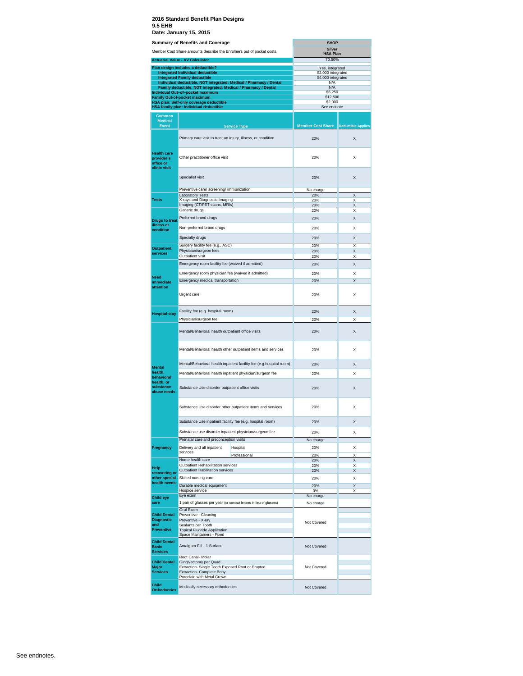#### **2016 Standard Benefit Plan Designs 9.5 EHB**

| 70.50%<br>Yes, integrated<br>\$2,000 integrated<br>\$4,000 integrated<br>N/A<br>N/A<br>\$6,250<br>\$12,500<br>\$2,000<br>See endnote<br><b>Member Cost Share</b><br><b>Deductible Applies</b><br>X<br>X<br>X<br>X<br>Χ<br>X<br>Χ<br>X<br>X |
|--------------------------------------------------------------------------------------------------------------------------------------------------------------------------------------------------------------------------------------------|
|                                                                                                                                                                                                                                            |
|                                                                                                                                                                                                                                            |
|                                                                                                                                                                                                                                            |
|                                                                                                                                                                                                                                            |
|                                                                                                                                                                                                                                            |
|                                                                                                                                                                                                                                            |
|                                                                                                                                                                                                                                            |
|                                                                                                                                                                                                                                            |
|                                                                                                                                                                                                                                            |
|                                                                                                                                                                                                                                            |
|                                                                                                                                                                                                                                            |
|                                                                                                                                                                                                                                            |
|                                                                                                                                                                                                                                            |
|                                                                                                                                                                                                                                            |
|                                                                                                                                                                                                                                            |
|                                                                                                                                                                                                                                            |
|                                                                                                                                                                                                                                            |
|                                                                                                                                                                                                                                            |
|                                                                                                                                                                                                                                            |
| X                                                                                                                                                                                                                                          |
| X                                                                                                                                                                                                                                          |
| X                                                                                                                                                                                                                                          |
| X                                                                                                                                                                                                                                          |
| X                                                                                                                                                                                                                                          |
| X                                                                                                                                                                                                                                          |
| Χ                                                                                                                                                                                                                                          |
| X                                                                                                                                                                                                                                          |
| $\mathsf{x}$                                                                                                                                                                                                                               |
| Χ                                                                                                                                                                                                                                          |
| $\mathsf{x}$                                                                                                                                                                                                                               |
| Χ                                                                                                                                                                                                                                          |
| X                                                                                                                                                                                                                                          |
| X                                                                                                                                                                                                                                          |
| $\mathsf{x}$                                                                                                                                                                                                                               |
| X                                                                                                                                                                                                                                          |
| X                                                                                                                                                                                                                                          |
| Χ                                                                                                                                                                                                                                          |
|                                                                                                                                                                                                                                            |
| Χ                                                                                                                                                                                                                                          |
| Χ                                                                                                                                                                                                                                          |
| X<br>X                                                                                                                                                                                                                                     |
| X                                                                                                                                                                                                                                          |
| Χ                                                                                                                                                                                                                                          |
| X                                                                                                                                                                                                                                          |
| X                                                                                                                                                                                                                                          |
|                                                                                                                                                                                                                                            |
|                                                                                                                                                                                                                                            |
|                                                                                                                                                                                                                                            |
|                                                                                                                                                                                                                                            |
|                                                                                                                                                                                                                                            |
|                                                                                                                                                                                                                                            |
|                                                                                                                                                                                                                                            |
|                                                                                                                                                                                                                                            |
|                                                                                                                                                                                                                                            |
|                                                                                                                                                                                                                                            |
|                                                                                                                                                                                                                                            |
|                                                                                                                                                                                                                                            |
|                                                                                                                                                                                                                                            |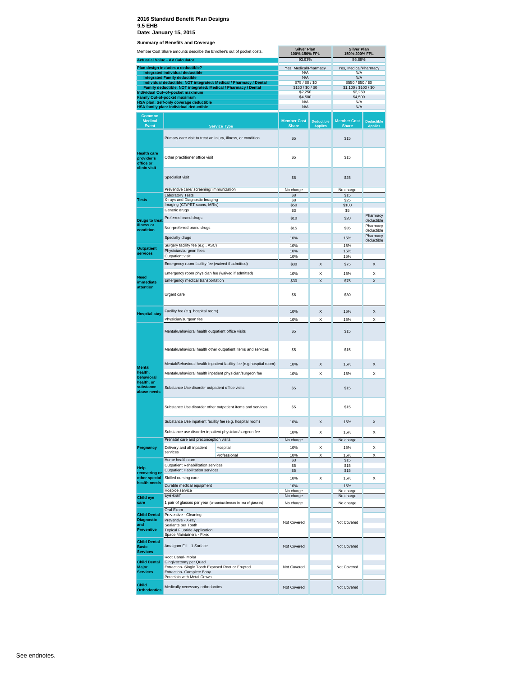|                                                                      | Member Cost Share amounts describe the Enrollee's out of pocket costs.                                                                                           | <b>Silver Plan</b><br>100%-150% FPL                                 |                                       | <b>Silver Plan</b><br>150%-200% FPL |                                             |                                     |
|----------------------------------------------------------------------|------------------------------------------------------------------------------------------------------------------------------------------------------------------|---------------------------------------------------------------------|---------------------------------------|-------------------------------------|---------------------------------------------|-------------------------------------|
|                                                                      | <b>Actuarial Value - AV Calculator</b>                                                                                                                           |                                                                     | 93.93%                                |                                     | 86.89%                                      |                                     |
|                                                                      | Plan design includes a deductible?                                                                                                                               |                                                                     | Yes, Medical/Pharmacy                 |                                     | Yes, Medical/Pharmacy                       |                                     |
|                                                                      | <b>Integrated Individual deductible</b><br><b>Integrated Family deductible</b>                                                                                   |                                                                     | N/A<br>N/A                            |                                     | N/A<br>N/A                                  |                                     |
|                                                                      | Individual deductible, NOT integrated: Medical / Pharmacy / Dental<br>Family deductible, NOT integrated: Medical / Pharmacy / Dental                             |                                                                     | \$75 / \$0 / \$0<br>\$150 / \$0 / \$0 |                                     | \$550 / \$50 / \$0<br>\$1,100 / \$100 / \$0 |                                     |
|                                                                      | Individual Out-of-pocket maximum                                                                                                                                 |                                                                     | \$2,250                               |                                     | \$2,250<br>\$4,500                          |                                     |
|                                                                      | Family Out-of-pocket maximum<br>HSA plan: Self-only coverage deductible                                                                                          |                                                                     | \$4,500<br>N/A                        |                                     | N/A                                         |                                     |
|                                                                      | HSA family plan: Individual deductible                                                                                                                           |                                                                     | N/A                                   |                                     | N/A                                         |                                     |
| <b>Common</b><br><b>Medical</b><br><b>Event</b>                      |                                                                                                                                                                  | <b>Service Type</b>                                                 | <b>Member Cost</b><br><b>Share</b>    | <b>Deductible</b><br><b>Applies</b> | <b>Member Cost</b><br><b>Share</b>          | <b>Deductible</b><br><b>Applies</b> |
|                                                                      | Primary care visit to treat an injury, illness, or condition                                                                                                     |                                                                     | \$5                                   |                                     | \$15                                        |                                     |
| <b>Health care</b><br>provider's<br>office or<br>clinic visit        | Other practitioner office visit                                                                                                                                  |                                                                     | \$5                                   |                                     | \$15                                        |                                     |
|                                                                      | Specialist visit                                                                                                                                                 |                                                                     | \$8                                   |                                     | \$25                                        |                                     |
|                                                                      | Preventive care/ screening/ immunization<br><b>Laboratory Tests</b>                                                                                              |                                                                     | No charge<br>S <sub>8</sub>           |                                     | No charge<br>\$15                           |                                     |
| <b>Tests</b>                                                         | X-rays and Diagnostic Imaging                                                                                                                                    |                                                                     | \$8                                   |                                     | \$25                                        |                                     |
|                                                                      | Imaging (CT/PET scans, MRIs)<br>Generic drugs                                                                                                                    |                                                                     | \$50<br>\$3                           |                                     | \$100<br>\$5                                |                                     |
| <b>Drugs to treat</b>                                                | Preferred brand drugs                                                                                                                                            |                                                                     | \$10                                  |                                     | \$20                                        | Pharmacy<br>deductible              |
| illness or<br>condition                                              | Non-preferred brand drugs                                                                                                                                        |                                                                     | \$15                                  |                                     | \$35                                        | Pharmacy<br>deductible              |
|                                                                      | Specialty drugs                                                                                                                                                  |                                                                     | 10%                                   |                                     | 15%                                         | Pharmacy<br>deductible              |
| <b>Outpatient</b><br>services                                        | Surgery facility fee (e.g., ASC)<br>Physician/surgeon fees<br>Outpatient visit                                                                                   |                                                                     | 10%<br>10%<br>10%                     |                                     | 15%<br>15%<br>15%                           |                                     |
|                                                                      | Emergency room facility fee (waived if admitted)                                                                                                                 |                                                                     | \$30                                  | X                                   | \$75                                        | x                                   |
|                                                                      | Emergency room physician fee (waived if admitted)                                                                                                                |                                                                     | 10%                                   | Χ                                   | 15%                                         | Χ                                   |
| Need<br>immediate                                                    | Emergency medical transportation                                                                                                                                 |                                                                     | \$30                                  | X                                   | \$75                                        | X                                   |
| attention                                                            | Urgent care                                                                                                                                                      |                                                                     | \$6                                   |                                     | \$30                                        |                                     |
| <b>Hospital stay</b>                                                 | Facility fee (e.g. hospital room)                                                                                                                                |                                                                     | 10%                                   | X                                   | 15%                                         | X                                   |
|                                                                      | Physician/surgeon fee<br>Mental/Behavioral health outpatient office visits                                                                                       |                                                                     | 10%<br>\$5                            | X                                   | 15%<br>\$15                                 | Χ                                   |
|                                                                      |                                                                                                                                                                  | Mental/Behavioral health other outpatient items and services        | \$5                                   |                                     | \$15                                        |                                     |
| <b>Mental</b>                                                        |                                                                                                                                                                  | Mental/Behavioral health inpatient facility fee (e.g.hospital room) | 10%                                   | Χ                                   | 15%                                         | X                                   |
| health,                                                              | Mental/Behavioral health inpatient physician/surgeon fee                                                                                                         |                                                                     | 10%                                   | Χ                                   | 15%                                         | Χ                                   |
| behavioral<br>health, or<br>substance<br>abuse needs                 | Substance Use disorder outpatient office visits                                                                                                                  |                                                                     | \$5                                   |                                     | \$15                                        |                                     |
|                                                                      | Substance Use disorder other outpatient items and services                                                                                                       | \$5                                                                 |                                       | \$15                                |                                             |                                     |
|                                                                      | Substance Use inpatient facility fee (e.g. hospital room)                                                                                                        | 10%                                                                 | X                                     | 15%                                 | Χ                                           |                                     |
|                                                                      | Substance use disorder inpatient physician/surgeon fee                                                                                                           |                                                                     | 10%                                   | x                                   | 15%                                         | X                                   |
|                                                                      | Prenatal care and preconception visits                                                                                                                           |                                                                     | No charge                             |                                     | No charge                                   |                                     |
| Pregnancy                                                            | Delivery and all inpatient<br>services                                                                                                                           | Hospital                                                            | 10%                                   | x                                   | 15%                                         | X                                   |
|                                                                      | Home health care                                                                                                                                                 | Professional                                                        | 10%<br>\$3                            | x                                   | 15%<br>\$15                                 | X                                   |
| Help                                                                 | Outpatient Rehabilitation services<br><b>Outpatient Habilitation services</b>                                                                                    |                                                                     | \$5<br>\$5                            |                                     | \$15<br>\$15                                |                                     |
| recovering or<br>other special                                       | Skilled nursing care                                                                                                                                             |                                                                     | 10%                                   | x                                   | 15%                                         | Χ                                   |
| health needs                                                         | Durable medical equipment                                                                                                                                        |                                                                     | 10%                                   |                                     | 15%                                         |                                     |
|                                                                      | Hospice service                                                                                                                                                  |                                                                     | No charge                             |                                     | No charge                                   |                                     |
| <b>Child eye</b>                                                     | Eye exam                                                                                                                                                         |                                                                     | No charge                             |                                     | No charge                                   |                                     |
| care                                                                 | 1 pair of glasses per year (or contact lenses in lieu of glasses)<br>Oral Exam                                                                                   |                                                                     | No charge                             |                                     | No charge                                   |                                     |
| <b>Child Dental</b><br><b>Diagnostic</b><br>and<br><b>Preventive</b> | Preventive - Cleaning<br>Preventive - X-ray<br>Sealants per Tooth<br><b>Topical Fluoride Application</b>                                                         |                                                                     | Not Covered                           |                                     | Not Covered                                 |                                     |
| <b>Child Dental</b><br><b>Basic</b><br><b>Services</b>               | Space Maintainers - Fixed<br>Amalgam Fill - 1 Surface                                                                                                            |                                                                     | Not Covered                           |                                     | Not Covered                                 |                                     |
| <b>Child Dental</b><br>Major<br><b>Services</b>                      | Root Canal- Molar<br>Gingivectomy per Quad<br>Extraction- Single Tooth Exposed Root or Erupted<br><b>Extraction- Complete Bony</b><br>Porcelain with Metal Crown |                                                                     | Not Covered                           |                                     | Not Covered                                 |                                     |
| Child<br><b>Orthodontics</b>                                         | Medically necessary orthodontics                                                                                                                                 |                                                                     | Not Covered                           |                                     | Not Covered                                 |                                     |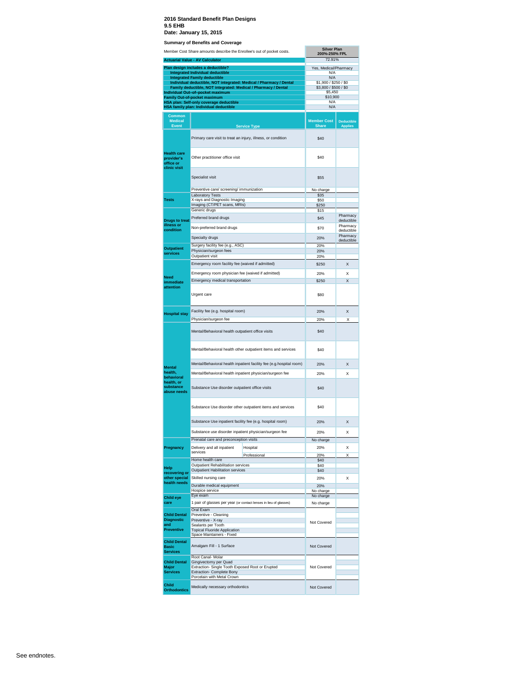|                                                        | Member Cost Share amounts describe the Enrollee's out of pocket costs.<br><b>Actuarial Value - AV Calculator</b>                     |                                                                     | <b>Silver Plan</b><br>200%-250% FPL<br>72.91% |                   |
|--------------------------------------------------------|--------------------------------------------------------------------------------------------------------------------------------------|---------------------------------------------------------------------|-----------------------------------------------|-------------------|
|                                                        | Plan design includes a deductible?                                                                                                   |                                                                     | Yes, Medical/Pharmacy                         |                   |
|                                                        | <b>Integrated Individual deductible</b>                                                                                              |                                                                     | N/A                                           |                   |
|                                                        | <b>Integrated Family deductible</b>                                                                                                  | Individual deductible, NOT integrated: Medical / Pharmacy / Dental  | N/A<br>\$1,900 / \$250 / \$0                  |                   |
|                                                        | Family deductible, NOT integrated: Medical / Pharmacy / Dental<br>Individual Out-of-pocket maximum                                   |                                                                     | \$3,800 / \$500 / \$0<br>\$5,450              |                   |
|                                                        | Family Out-of-pocket maximum                                                                                                         |                                                                     | \$10,900                                      |                   |
|                                                        | <b>HSA plan: Self-only coverage deductible</b><br>HSA family plan: Individual deductible                                             |                                                                     | N/A<br>N/A                                    |                   |
|                                                        |                                                                                                                                      |                                                                     |                                               |                   |
| Common<br><b>Medical</b>                               |                                                                                                                                      |                                                                     | <b>Member Cost</b>                            | <b>Deductible</b> |
| <b>Event</b>                                           |                                                                                                                                      | <b>Service Type</b>                                                 | <b>Share</b>                                  | <b>Applies</b>    |
|                                                        | Primary care visit to treat an injury, illness, or condition                                                                         |                                                                     | \$40                                          |                   |
|                                                        |                                                                                                                                      |                                                                     |                                               |                   |
| <b>Health care</b><br>provider's                       | Other practitioner office visit                                                                                                      |                                                                     | \$40                                          |                   |
| office or<br>clinic visit                              |                                                                                                                                      |                                                                     |                                               |                   |
|                                                        | Specialist visit                                                                                                                     |                                                                     | \$55                                          |                   |
|                                                        | Preventive care/ screening/ immunization                                                                                             |                                                                     | No charge                                     |                   |
| <b>Tests</b>                                           | <b>Laboratory Tests</b><br>X-rays and Diagnostic Imaging                                                                             |                                                                     | \$35<br>\$50                                  |                   |
|                                                        | Imaging (CT/PET scans, MRIs)                                                                                                         |                                                                     | \$250                                         |                   |
|                                                        | Generic drugs                                                                                                                        |                                                                     | \$15                                          | Pharmacy          |
| <b>Drugs to treat</b>                                  | Preferred brand drugs                                                                                                                |                                                                     | \$45                                          | deductible        |
| illness or<br>condition                                | Non-preferred brand drugs                                                                                                            | \$70                                                                | Pharmacy                                      |                   |
|                                                        | Specialty drugs                                                                                                                      | 20%                                                                 | deductible<br>Pharmacy                        |                   |
|                                                        | Surgery facility fee (e.g., ASC)                                                                                                     | 20%                                                                 | deductible                                    |                   |
| <b>Outpatient</b>                                      | Physician/surgeon fees                                                                                                               |                                                                     | 20%                                           |                   |
| services                                               | Outpatient visit                                                                                                                     | 20%                                                                 |                                               |                   |
|                                                        | Emergency room facility fee (waived if admitted)                                                                                     |                                                                     | \$250                                         | X                 |
|                                                        | Emergency room physician fee (waived if admitted)                                                                                    | 20%                                                                 | X                                             |                   |
| <b>Need</b><br>immediate                               | Emergency medical transportation                                                                                                     | \$250                                                               | Χ                                             |                   |
| attention                                              | Urgent care                                                                                                                          |                                                                     | \$80                                          |                   |
| <b>Hospital stay</b>                                   | Facility fee (e.g. hospital room)                                                                                                    |                                                                     | 20%                                           | X                 |
|                                                        | Physician/surgeon fee                                                                                                                |                                                                     | 20%                                           | X                 |
|                                                        | Mental/Behavioral health outpatient office visits                                                                                    | \$40                                                                |                                               |                   |
|                                                        | Mental/Behavioral health other outpatient items and services                                                                         | \$40                                                                |                                               |                   |
| <b>Mental</b>                                          |                                                                                                                                      | Mental/Behavioral health inpatient facility fee (e.g.hospital room) | 20%                                           | X                 |
| health,<br>behavioral                                  | Mental/Behavioral health inpatient physician/surgeon fee                                                                             |                                                                     | 20%                                           | X                 |
| health, or<br>substance<br>abuse needs                 | Substance Use disorder outpatient office visits                                                                                      |                                                                     | \$40                                          |                   |
|                                                        |                                                                                                                                      | Substance Use disorder other outpatient items and services          | \$40                                          |                   |
|                                                        | Substance Use inpatient facility fee (e.g. hospital room)                                                                            |                                                                     | 20%                                           | Χ                 |
|                                                        | Substance use disorder inpatient physician/surgeon fee                                                                               |                                                                     | 20%                                           | X                 |
|                                                        | Prenatal care and preconception visits                                                                                               |                                                                     | No charge                                     |                   |
| Pregnancy                                              | Delivery and all inpatient<br>services                                                                                               | Hospital                                                            | 20%                                           | X                 |
|                                                        | Home health care                                                                                                                     | Professional                                                        | 20%<br>\$40                                   | Х                 |
| Help                                                   | Outpatient Rehabilitation services                                                                                                   |                                                                     | \$40                                          |                   |
| recovering or                                          | Outpatient Habilitation services                                                                                                     |                                                                     | \$40                                          |                   |
| other special<br>health needs                          | Skilled nursing care                                                                                                                 |                                                                     | 20%                                           | Χ                 |
|                                                        | Durable medical equipment<br>Hospice service                                                                                         |                                                                     | 20%<br>No charge                              |                   |
| Child eye                                              | Eye exam                                                                                                                             |                                                                     | No charge                                     |                   |
| care                                                   | 1 pair of glasses per year (or contact lenses in lieu of glasses)                                                                    |                                                                     | No charge                                     |                   |
| <b>Child Dental</b>                                    | Oral Exam<br>Preventive - Cleaning                                                                                                   |                                                                     |                                               |                   |
| Diagnostic                                             | Preventive - X-ray                                                                                                                   |                                                                     | Not Covered                                   |                   |
| and<br><b>Preventive</b>                               | Sealants per Tooth<br><b>Topical Fluoride Application</b>                                                                            |                                                                     |                                               |                   |
|                                                        | Space Maintainers - Fixed                                                                                                            |                                                                     |                                               |                   |
| <b>Child Dental</b><br><b>Basic</b><br><b>Services</b> | Amalgam Fill - 1 Surface                                                                                                             |                                                                     | Not Covered                                   |                   |
| <b>Child Dental</b>                                    | Root Canal- Molar                                                                                                                    |                                                                     |                                               |                   |
| <b>Major</b><br><b>Services</b>                        | Gingivectomy per Quad<br>Extraction- Single Tooth Exposed Root or Erupted<br>Extraction- Complete Bony<br>Porcelain with Metal Crown |                                                                     | Not Covered                                   |                   |
| Child<br><b>Orthodontics</b>                           | Medically necessary orthodontics                                                                                                     | Not Covered                                                         |                                               |                   |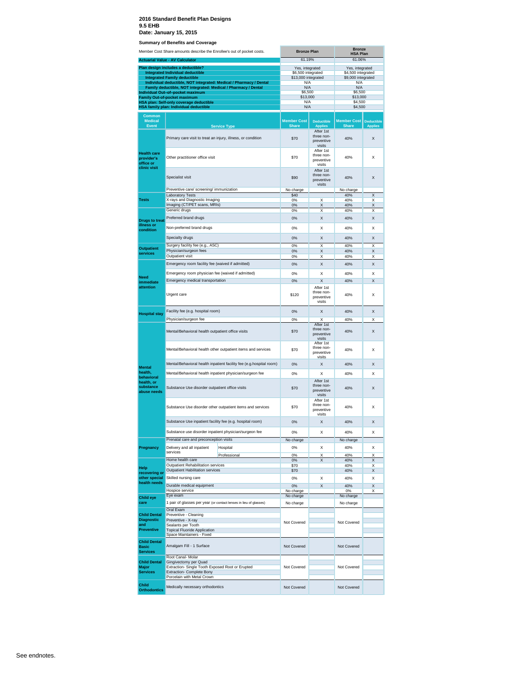|                                                               | Member Cost Share amounts describe the Enrollee's out of pocket costs.                             |                                                                    |                                                 | <b>Bronze Plan</b>                              | <b>Bronze</b><br><b>HSA Plan</b>         |                                     |  |
|---------------------------------------------------------------|----------------------------------------------------------------------------------------------------|--------------------------------------------------------------------|-------------------------------------------------|-------------------------------------------------|------------------------------------------|-------------------------------------|--|
|                                                               | <b>Actuarial Value - AV Calculator</b>                                                             |                                                                    | 61.19%                                          |                                                 | 61.06%                                   |                                     |  |
|                                                               | Plan design includes a deductible?                                                                 |                                                                    | Yes, integrated                                 |                                                 | Yes, integrated                          |                                     |  |
|                                                               | <b>Integrated Individual deductible</b><br><b>Integrated Family deductible</b>                     |                                                                    | \$6,500 integrated<br>\$13,000 integrated       |                                                 | \$4,500 integrated<br>\$9,000 integrated |                                     |  |
|                                                               |                                                                                                    | Individual deductible, NOT integrated: Medical / Pharmacy / Dental | N/A                                             |                                                 | N/A                                      |                                     |  |
|                                                               | Family deductible, NOT integrated: Medical / Pharmacy / Dental<br>Individual Out-of-pocket maximum |                                                                    | N/A<br>\$6,500                                  |                                                 | N/A<br>\$6,500                           |                                     |  |
|                                                               | <b>Family Out-of-pocket maximum</b>                                                                |                                                                    | \$13,000                                        |                                                 | \$13,000                                 |                                     |  |
|                                                               | HSA plan: Self-only coverage deductible<br>HSA family plan: Individual deductible                  |                                                                    | N/A<br>N/A                                      |                                                 | \$4,500<br>\$4,500                       |                                     |  |
|                                                               |                                                                                                    |                                                                    |                                                 |                                                 |                                          |                                     |  |
| <b>Common</b><br><b>Medical</b><br><b>Event</b>               |                                                                                                    | <b>Service Type</b>                                                | <b>Member Cost</b><br><b>Share</b>              | <b>Deductible</b><br><b>Applies</b>             | <b>Member Cost</b><br><b>Share</b>       | <b>Deductible</b><br><b>Applies</b> |  |
|                                                               | Primary care visit to treat an injury, illness, or condition                                       |                                                                    | \$70                                            | After 1st<br>three non-<br>preventive<br>visits | 40%                                      | X                                   |  |
| <b>Health care</b><br>provider's<br>office or<br>clinic visit | Other practitioner office visit                                                                    |                                                                    | \$70                                            | After 1st<br>three non-<br>preventive<br>visits | 40%                                      | X                                   |  |
|                                                               | Specialist visit                                                                                   |                                                                    | \$90                                            | After 1st<br>three non-<br>preventive<br>visits | 40%                                      | X                                   |  |
|                                                               | Preventive care/ screening/ immunization<br><b>Laboratory Tests</b>                                |                                                                    | No charge<br>\$40                               |                                                 | No charge<br>40%                         | X                                   |  |
| <b>Tests</b>                                                  | X-rays and Diagnostic Imaging                                                                      |                                                                    | 0%                                              | X                                               | 40%                                      | X                                   |  |
|                                                               | Imaging (CT/PET scans, MRIs)                                                                       |                                                                    | 0%                                              | X                                               | 40%                                      | X                                   |  |
|                                                               | Generic drugs                                                                                      |                                                                    | 0%                                              | Χ                                               | 40%                                      | Χ                                   |  |
| Drugs to treat<br>illness or<br>condition                     | Preferred brand drugs<br>Non-preferred brand drugs                                                 |                                                                    | 0%<br>0%                                        | X<br>X                                          | 40%<br>40%                               | X<br>Χ                              |  |
|                                                               | Specialty drugs                                                                                    |                                                                    |                                                 | X                                               |                                          | X                                   |  |
|                                                               | Surgery facility fee (e.g., ASC)                                                                   |                                                                    | 0%<br>0%                                        | X                                               | 40%<br>40%                               | X                                   |  |
| <b>Outpatient</b>                                             | Physician/surgeon fees                                                                             |                                                                    | 0%                                              | X                                               | 40%                                      | X                                   |  |
| services                                                      | Outpatient visit                                                                                   |                                                                    | 0%                                              | X                                               | 40%                                      | Χ                                   |  |
|                                                               | Emergency room facility fee (waived if admitted)                                                   |                                                                    | 0%                                              | X                                               | 40%                                      | X                                   |  |
|                                                               | Emergency room physician fee (waived if admitted)                                                  |                                                                    | 0%                                              | X                                               | 40%                                      | X                                   |  |
| Need<br>immediate                                             | Emergency medical transportation                                                                   |                                                                    | 0%                                              | X                                               | 40%                                      | X                                   |  |
| attention                                                     | Urgent care                                                                                        |                                                                    | \$120                                           | After 1st<br>three non-<br>preventive<br>visits | 40%                                      | X                                   |  |
| <b>Hospital stay</b>                                          | Facility fee (e.g. hospital room)                                                                  |                                                                    | 0%                                              | X                                               | 40%                                      | X                                   |  |
|                                                               | Physician/surgeon fee                                                                              |                                                                    | 0%                                              | X                                               | 40%                                      | Χ                                   |  |
|                                                               | Mental/Behavioral health outpatient office visits                                                  |                                                                    | \$70                                            | After 1st<br>three non-<br>preventive<br>visits | 40%                                      | X                                   |  |
|                                                               | Mental/Behavioral health other outpatient items and services                                       | \$70                                                               | After 1st<br>three non-<br>preventive<br>visits | 40%                                             | Χ                                        |                                     |  |
| <b>Mental</b>                                                 | Mental/Behavioral health inpatient facility fee (e.g.hospital room)                                | 0%                                                                 | X                                               | 40%                                             | X                                        |                                     |  |
| health,                                                       | Mental/Behavioral health inpatient physician/surgeon fee                                           | 0%                                                                 | X                                               | 40%                                             | X                                        |                                     |  |
| behavioral<br>health, or<br>substance<br>abuse needs          | Substance Use disorder outpatient office visits                                                    | \$70                                                               | After 1st<br>three non-<br>preventive<br>visits | 40%                                             | X                                        |                                     |  |
|                                                               | Substance Use disorder other outpatient items and services                                         | \$70                                                               | After 1st<br>three non-<br>preventive<br>visits | 40%                                             | X                                        |                                     |  |
|                                                               | Substance Use inpatient facility fee (e.g. hospital room)                                          |                                                                    | 0%                                              | X                                               | 40%                                      | X                                   |  |
|                                                               | Substance use disorder inpatient physician/surgeon fee                                             |                                                                    | 0%                                              | X                                               | 40%                                      | X                                   |  |
|                                                               | Prenatal care and preconception visits                                                             |                                                                    | No charge                                       |                                                 | No charge                                |                                     |  |
| Pregnancy                                                     | Delivery and all inpatient                                                                         | Hospital                                                           | 0%                                              | Х                                               | 40%                                      | X                                   |  |
|                                                               | services                                                                                           | Professional                                                       | 0%                                              | X                                               | 40%                                      | X                                   |  |
|                                                               | Home health care<br>Outpatient Rehabilitation services                                             |                                                                    | 0%<br>\$70                                      | X                                               | 40%<br>40%                               | X<br>X                              |  |
| <b>Help</b><br>recovering or                                  | <b>Outpatient Habilitation services</b>                                                            |                                                                    | \$70                                            |                                                 | 40%                                      | X                                   |  |
| other special                                                 | Skilled nursing care                                                                               |                                                                    | 0%                                              | X                                               | 40%                                      | X                                   |  |
| health needs                                                  | Durable medical equipment                                                                          |                                                                    | 0%                                              | X                                               | 40%                                      | X                                   |  |
|                                                               | Hospice service<br>Eye exam                                                                        |                                                                    | No charge<br>No charge                          |                                                 | 0%<br>No charge                          | X                                   |  |
| <b>Child eye</b><br>care                                      | 1 pair of glasses per year (or contact lenses in lieu of glasses)                                  |                                                                    |                                                 |                                                 |                                          |                                     |  |
|                                                               | Oral Exam                                                                                          |                                                                    | No charge                                       |                                                 | No charge                                |                                     |  |
| <b>Child Dental</b>                                           | Preventive - Cleaning                                                                              |                                                                    |                                                 |                                                 |                                          |                                     |  |
| <b>Diagnostic</b><br>and                                      | Preventive - X-ray<br>Sealants per Tooth                                                           |                                                                    | Not Covered                                     |                                                 | Not Covered                              |                                     |  |
| <b>Preventive</b>                                             | <b>Topical Fluoride Application</b>                                                                |                                                                    |                                                 |                                                 |                                          |                                     |  |
| <b>Child Dental</b>                                           | Space Maintainers - Fixed                                                                          |                                                                    |                                                 |                                                 |                                          |                                     |  |
| <b>Basic</b><br><b>Services</b>                               | Amalgam Fill - 1 Surface                                                                           |                                                                    | Not Covered                                     |                                                 | Not Covered                              |                                     |  |
|                                                               | Root Canal- Molar                                                                                  |                                                                    |                                                 |                                                 |                                          |                                     |  |
| <b>Child Dental</b><br>Major                                  | Gingivectomy per Quad<br>Extraction- Single Tooth Exposed Root or Erupted                          |                                                                    | Not Covered                                     |                                                 | Not Covered                              |                                     |  |
| <b>Services</b>                                               | Extraction- Complete Bony                                                                          |                                                                    |                                                 |                                                 |                                          |                                     |  |
|                                                               | Porcelain with Metal Crown                                                                         |                                                                    |                                                 |                                                 |                                          |                                     |  |
| Child<br><b>Orthodontics</b>                                  | Medically necessary orthodontics                                                                   |                                                                    | Not Covered                                     |                                                 | Not Covered                              |                                     |  |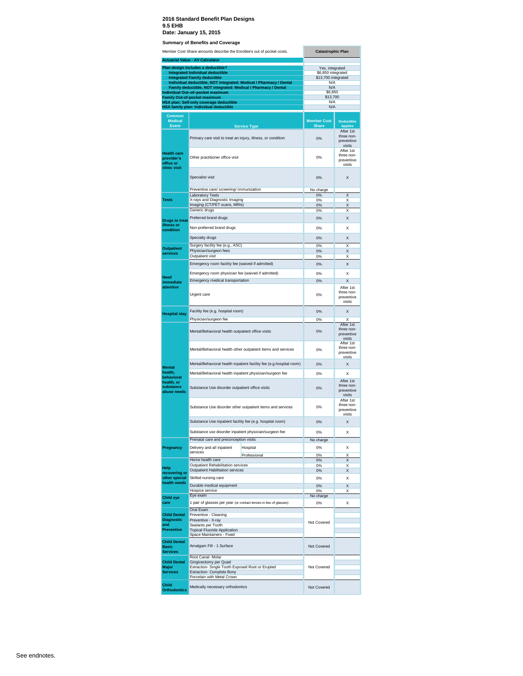| Plan design includes a deductible?       | <b>Actuarial Value - AV Calculator</b>                                            |                                                                     |                                                 |                                                 |
|------------------------------------------|-----------------------------------------------------------------------------------|---------------------------------------------------------------------|-------------------------------------------------|-------------------------------------------------|
|                                          |                                                                                   |                                                                     |                                                 |                                                 |
|                                          | <b>Integrated Individual deductible</b>                                           |                                                                     | Yes, integrated<br>\$6,850 integrated           |                                                 |
|                                          | <b>Integrated Family deductible</b>                                               |                                                                     | \$13,700 integrated                             |                                                 |
|                                          | Family deductible, NOT integrated: Medical / Pharmacy / Dental                    | Individual deductible, NOT integrated: Medical / Pharmacy / Dental  | N/A<br>N/A                                      |                                                 |
|                                          | Individual Out-of-pocket maximum                                                  |                                                                     | \$6,850                                         |                                                 |
|                                          | <b>Family Out-of-pocket maximum</b>                                               |                                                                     | \$13,700<br>N/A                                 |                                                 |
|                                          | HSA plan: Self-only coverage deductible<br>HSA family plan: Individual deductible |                                                                     | N/A                                             |                                                 |
| <b>Common</b>                            |                                                                                   |                                                                     |                                                 |                                                 |
| <b>Medical</b>                           |                                                                                   |                                                                     | <b>Member Cost</b>                              | <b>Deductible</b>                               |
| <b>Event</b>                             |                                                                                   | <b>Service Type</b>                                                 | <b>Share</b>                                    | <b>Applies</b>                                  |
|                                          | Primary care visit to treat an injury, illness, or condition                      |                                                                     | 0%                                              | After 1st<br>three non-<br>preventive<br>visits |
| <b>Health care</b><br>provider's         | Other practitioner office visit                                                   |                                                                     | 0%                                              | After 1st<br>three non-<br>preventive           |
| office or<br>clinic visit                |                                                                                   |                                                                     |                                                 | visits                                          |
|                                          | Specialist visit                                                                  |                                                                     | 0%                                              | X                                               |
|                                          | Preventive care/ screening/ immunization                                          |                                                                     | No charge                                       |                                                 |
|                                          | <b>Laboratory Tests</b>                                                           |                                                                     | 0%                                              | X                                               |
| <b>Tests</b>                             | X-rays and Diagnostic Imaging<br>Imaging (CT/PET scans, MRIs)                     |                                                                     | 0%<br>0%                                        | X<br>X                                          |
|                                          | Generic drugs                                                                     |                                                                     | 0%                                              | Χ                                               |
| <b>Drugs to treat</b>                    | Preferred brand drugs                                                             |                                                                     | 0%                                              | Χ                                               |
| illness or                               | Non-preferred brand drugs                                                         |                                                                     | 0%                                              | x                                               |
| condition                                |                                                                                   |                                                                     |                                                 |                                                 |
|                                          | Specialty drugs                                                                   |                                                                     | 0%                                              | X                                               |
| <b>Outpatient</b>                        | Surgery facility fee (e.g., ASC)                                                  |                                                                     | 0%                                              | X                                               |
| services                                 | Physician/surgeon fees<br>Outpatient visit                                        |                                                                     | 0%<br>0%                                        | X<br>Χ                                          |
|                                          |                                                                                   |                                                                     |                                                 |                                                 |
|                                          | Emergency room facility fee (waived if admitted)                                  | 0%                                                                  | Χ                                               |                                                 |
| <b>Need</b>                              | Emergency room physician fee (waived if admitted)                                 | 0%                                                                  | x                                               |                                                 |
| immediate                                | Emergency medical transportation                                                  |                                                                     | 0%                                              | X                                               |
| attention                                | Urgent care                                                                       |                                                                     | 0%                                              | After 1st<br>three non-<br>preventive<br>visits |
| <b>Hospital stay</b>                     | Facility fee (e.g. hospital room)                                                 |                                                                     | 0%                                              | X                                               |
|                                          | Physician/surgeon fee                                                             |                                                                     | 0%                                              | X                                               |
|                                          | Mental/Behavioral health outpatient office visits                                 |                                                                     | 0%                                              | After 1st<br>three non-<br>preventive<br>visits |
|                                          |                                                                                   | Mental/Behavioral health other outpatient items and services        | 0%                                              | After 1st<br>three non-<br>preventive           |
| <b>Mental</b>                            |                                                                                   | Mental/Behavioral health inpatient facility fee (e.g.hospital room) | 0%                                              | visits<br>Χ                                     |
| health.                                  | Mental/Behavioral health inpatient physician/surgeon fee                          |                                                                     | 0%                                              | X                                               |
| behavioral<br>health, or                 |                                                                                   |                                                                     |                                                 | After 1st                                       |
| substance<br>abuse needs                 | Substance Use disorder outpatient office visits                                   | 0%                                                                  | three non-<br>preventive<br>visits              |                                                 |
|                                          | Substance Use disorder other outpatient items and services                        | 0%                                                                  | After 1st<br>three non-<br>preventive<br>visits |                                                 |
|                                          | Substance Use inpatient facility fee (e.g. hospital room)                         |                                                                     | 0%                                              | X                                               |
|                                          | Substance use disorder inpatient physician/surgeon fee                            |                                                                     | 0%                                              | X                                               |
|                                          | Prenatal care and preconception visits                                            |                                                                     | No charge                                       |                                                 |
| Pregnancy                                | Delivery and all inpatient                                                        | Hospital                                                            | 0%                                              | x                                               |
|                                          | services                                                                          | Professional                                                        | 0%                                              | Χ                                               |
|                                          | Home health care                                                                  |                                                                     | 0%                                              | Χ                                               |
| Help                                     | Outpatient Rehabilitation services<br><b>Outpatient Habilitation services</b>     |                                                                     | 0%<br>0%                                        | Χ<br>Χ                                          |
| recovering or<br>other special           | Skilled nursing care                                                              |                                                                     | 0%                                              | X                                               |
| health needs                             | Durable medical equipment                                                         |                                                                     |                                                 |                                                 |
|                                          | Hospice service                                                                   |                                                                     | 0%<br>0%                                        | X<br>Χ                                          |
| <b>Child eye</b>                         | Eye exam                                                                          |                                                                     | No charge                                       |                                                 |
| care                                     |                                                                                   | 1 pair of glasses per year (or contact lenses in lieu of glasses)   | 0%                                              | X                                               |
|                                          | Oral Exam                                                                         |                                                                     |                                                 |                                                 |
| <b>Child Dental</b><br><b>Diagnostic</b> | Preventive - Cleaning<br>Preventive - X-ray                                       |                                                                     | Not Covered                                     |                                                 |
| and                                      | Sealants per Tooth                                                                |                                                                     |                                                 |                                                 |
| <b>Preventive</b>                        | <b>Topical Fluoride Application</b><br>Space Maintainers - Fixed                  |                                                                     |                                                 |                                                 |
|                                          |                                                                                   |                                                                     | Not Covered                                     |                                                 |
| <b>Child Dental</b><br><b>Basic</b>      | Amalgam Fill - 1 Surface                                                          |                                                                     |                                                 |                                                 |
| <b>Services</b>                          |                                                                                   |                                                                     |                                                 |                                                 |
| <b>Child Dental</b>                      | Root Canal- Molar<br>Gingivectomy per Quad                                        |                                                                     |                                                 |                                                 |
| Major                                    | Extraction- Single Tooth Exposed Root or Erupted                                  |                                                                     | Not Covered                                     |                                                 |
| <b>Services</b>                          | <b>Extraction- Complete Bony</b><br>Porcelain with Metal Crown                    |                                                                     |                                                 |                                                 |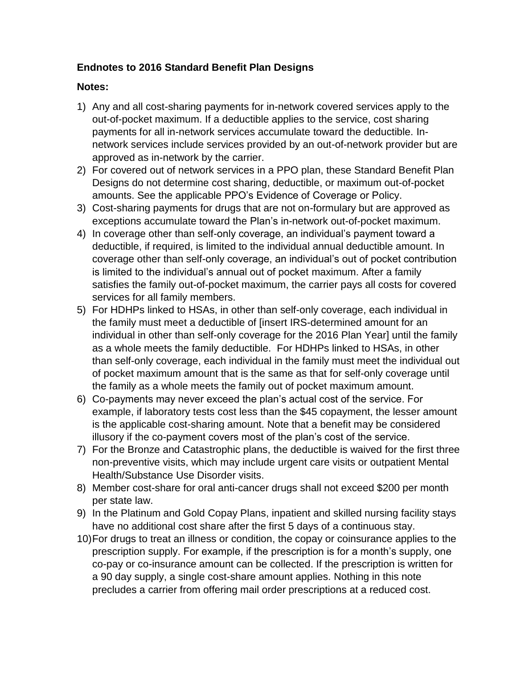#### **Endnotes to 2016 Standard Benefit Plan Designs**

#### **Notes:**

- 1) Any and all cost-sharing payments for in-network covered services apply to the out-of-pocket maximum. If a deductible applies to the service, cost sharing payments for all in-network services accumulate toward the deductible. Innetwork services include services provided by an out-of-network provider but are approved as in-network by the carrier.
- 2) For covered out of network services in a PPO plan, these Standard Benefit Plan Designs do not determine cost sharing, deductible, or maximum out-of-pocket amounts. See the applicable PPO's Evidence of Coverage or Policy.
- 3) Cost-sharing payments for drugs that are not on-formulary but are approved as exceptions accumulate toward the Plan's in-network out-of-pocket maximum.
- 4) In coverage other than self-only coverage, an individual's payment toward a deductible, if required, is limited to the individual annual deductible amount. In coverage other than self-only coverage, an individual's out of pocket contribution is limited to the individual's annual out of pocket maximum. After a family satisfies the family out-of-pocket maximum, the carrier pays all costs for covered services for all family members.
- 5) For HDHPs linked to HSAs, in other than self-only coverage, each individual in the family must meet a deductible of [insert IRS-determined amount for an individual in other than self-only coverage for the 2016 Plan Year] until the family as a whole meets the family deductible. For HDHPs linked to HSAs, in other than self-only coverage, each individual in the family must meet the individual out of pocket maximum amount that is the same as that for self-only coverage until the family as a whole meets the family out of pocket maximum amount.
- 6) Co-payments may never exceed the plan's actual cost of the service. For example, if laboratory tests cost less than the \$45 copayment, the lesser amount is the applicable cost-sharing amount. Note that a benefit may be considered illusory if the co-payment covers most of the plan's cost of the service.
- 7) For the Bronze and Catastrophic plans, the deductible is waived for the first three non-preventive visits, which may include urgent care visits or outpatient Mental Health/Substance Use Disorder visits.
- 8) Member cost-share for oral anti-cancer drugs shall not exceed \$200 per month per state law.
- 9) In the Platinum and Gold Copay Plans, inpatient and skilled nursing facility stays have no additional cost share after the first 5 days of a continuous stay.
- 10)For drugs to treat an illness or condition, the copay or coinsurance applies to the prescription supply. For example, if the prescription is for a month's supply, one co-pay or co-insurance amount can be collected. If the prescription is written for a 90 day supply, a single cost-share amount applies. Nothing in this note precludes a carrier from offering mail order prescriptions at a reduced cost.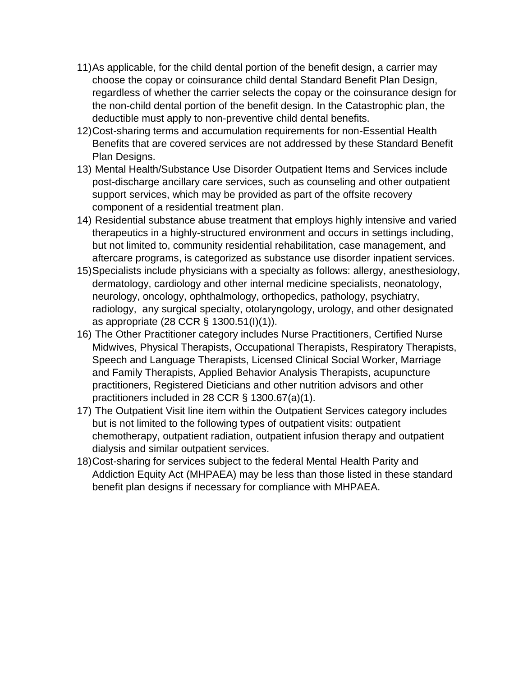- 11)As applicable, for the child dental portion of the benefit design, a carrier may choose the copay or coinsurance child dental Standard Benefit Plan Design, regardless of whether the carrier selects the copay or the coinsurance design for the non-child dental portion of the benefit design. In the Catastrophic plan, the deductible must apply to non-preventive child dental benefits.
- 12)Cost-sharing terms and accumulation requirements for non-Essential Health Benefits that are covered services are not addressed by these Standard Benefit Plan Designs.
- 13) Mental Health/Substance Use Disorder Outpatient Items and Services include post-discharge ancillary care services, such as counseling and other outpatient support services, which may be provided as part of the offsite recovery component of a residential treatment plan.
- 14) Residential substance abuse treatment that employs highly intensive and varied therapeutics in a highly-structured environment and occurs in settings including, but not limited to, community residential rehabilitation, case management, and aftercare programs, is categorized as substance use disorder inpatient services.
- 15)Specialists include physicians with a specialty as follows: allergy, anesthesiology, dermatology, cardiology and other internal medicine specialists, neonatology, neurology, oncology, ophthalmology, orthopedics, pathology, psychiatry, radiology, any surgical specialty, otolaryngology, urology, and other designated as appropriate (28 CCR § 1300.51(I)(1)).
- 16) The Other Practitioner category includes Nurse Practitioners, Certified Nurse Midwives, Physical Therapists, Occupational Therapists, Respiratory Therapists, Speech and Language Therapists, Licensed Clinical Social Worker, Marriage and Family Therapists, Applied Behavior Analysis Therapists, acupuncture practitioners, Registered Dieticians and other nutrition advisors and other practitioners included in 28 CCR § 1300.67(a)(1).
- 17) The Outpatient Visit line item within the Outpatient Services category includes but is not limited to the following types of outpatient visits: outpatient chemotherapy, outpatient radiation, outpatient infusion therapy and outpatient dialysis and similar outpatient services.
- 18)Cost-sharing for services subject to the federal Mental Health Parity and Addiction Equity Act (MHPAEA) may be less than those listed in these standard benefit plan designs if necessary for compliance with MHPAEA.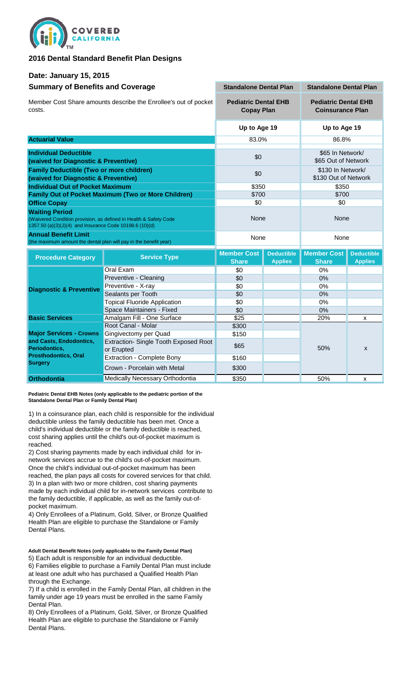

#### **2016 Dental Standard Benefit Plan Designs**

#### **Date: January 15, 2015**

| <b>Summary of Benefits and Coverage</b>                                                                                                               | <b>Standalone Dental Plan</b>                              |                                    | <b>Standalone Dental Plan</b>                          |                                    |                                     |
|-------------------------------------------------------------------------------------------------------------------------------------------------------|------------------------------------------------------------|------------------------------------|--------------------------------------------------------|------------------------------------|-------------------------------------|
| Member Cost Share amounts describe the Enrollee's out of pocket<br>costs.                                                                             | <b>Pediatric Dental EHB</b><br><b>Copay Plan</b>           |                                    | <b>Pediatric Dental EHB</b><br><b>Coinsurance Plan</b> |                                    |                                     |
|                                                                                                                                                       |                                                            | Up to Age 19                       | Up to Age 19                                           |                                    |                                     |
| <b>Actuarial Value</b>                                                                                                                                |                                                            | 83.0%                              |                                                        | 86.8%                              |                                     |
| <b>Individual Deductible</b>                                                                                                                          |                                                            |                                    |                                                        | \$65 In Network/                   |                                     |
| (waived for Diagnostic & Preventive)                                                                                                                  |                                                            | \$0                                |                                                        | \$65 Out of Network                |                                     |
| <b>Family Deductible (Two or more children)</b>                                                                                                       |                                                            |                                    |                                                        | \$130 In Network/                  |                                     |
| (waived for Diagnostic & Preventive)                                                                                                                  |                                                            | \$0                                |                                                        | \$130 Out of Network               |                                     |
| <b>Individual Out of Pocket Maximum</b>                                                                                                               |                                                            | \$350                              |                                                        | \$350                              |                                     |
|                                                                                                                                                       | <b>Family Out of Pocket Maximum (Two or More Children)</b> | \$700                              |                                                        | \$700                              |                                     |
| <b>Office Copay</b>                                                                                                                                   |                                                            | \$0                                |                                                        | \$0                                |                                     |
| <b>Waiting Period</b><br>(Waivered Condition provision, as defined in Health & Safety Code<br>1357.50 (a)(3)(J)(4) and Insurance Code 10198.6 (10)(d) | None                                                       |                                    | None                                                   |                                    |                                     |
| <b>Annual Benefit Limit</b><br>(the maximum amount the dental plan will pay in the benefit year)                                                      |                                                            | None                               |                                                        | None                               |                                     |
| <b>Procedure Category</b>                                                                                                                             | <b>Service Type</b>                                        | <b>Member Cost</b><br><b>Share</b> | <b>Deductible</b><br><b>Applies</b>                    | <b>Member Cost</b><br><b>Share</b> | <b>Deductible</b><br><b>Applies</b> |
|                                                                                                                                                       | <b>Oral Exam</b>                                           | \$0                                |                                                        | 0%                                 |                                     |
|                                                                                                                                                       | Preventive - Cleaning                                      | \$0                                |                                                        | $0\%$                              |                                     |
| <b>Diagnostic &amp; Preventive</b>                                                                                                                    | Preventive - X-ray                                         | \$0                                |                                                        | 0%                                 |                                     |
|                                                                                                                                                       | Sealants per Tooth                                         | \$0                                |                                                        | 0%                                 |                                     |
|                                                                                                                                                       | <b>Topical Fluoride Application</b>                        | \$0                                |                                                        | 0%                                 |                                     |
|                                                                                                                                                       | Space Maintainers - Fixed                                  | \$0                                |                                                        | 0%                                 |                                     |
| <b>Basic Services</b>                                                                                                                                 | Amalgam Fill - One Surface                                 | \$25                               |                                                        | 20%                                | X                                   |
|                                                                                                                                                       | Root Canal - Molar                                         | \$300                              |                                                        |                                    |                                     |
| <b>Major Services - Crowns</b>                                                                                                                        | Gingivectomy per Quad                                      | \$150                              |                                                        |                                    |                                     |
| and Casts, Endodontics,<br>Extraction- Single Tooth Exposed Root<br>Periodontics,                                                                     |                                                            | \$65                               |                                                        | 50%                                | X                                   |
| <b>Prosthodontics, Oral</b>                                                                                                                           | or Erupted<br><b>Extraction - Complete Bony</b>            | \$160                              |                                                        |                                    |                                     |
| <b>Surgery</b>                                                                                                                                        |                                                            |                                    |                                                        |                                    |                                     |
|                                                                                                                                                       | Crown - Porcelain with Metal                               | \$300                              |                                                        |                                    |                                     |
|                                                                                                                                                       | Medically Necessary Orthodontia                            | \$350                              |                                                        | 50%                                | X                                   |

**Pediatric Dental EHB Notes (only applicable to the pediatric portion of the Standalone Dental Plan or Family Dental Plan)**

1) In a coinsurance plan, each child is responsible for the individual deductible unless the family deductible has been met. Once a child's individual deductible or the family deductible is reached, cost sharing applies until the child's out-of-pocket maximum is reached.

2) Cost sharing payments made by each individual child for innetwork services accrue to the child's out-of-pocket maximum. Once the child's individual out-of-pocket maximum has been reached, the plan pays all costs for covered services for that child. 3) In a plan with two or more children, cost sharing payments made by each individual child for in-network services contribute to the family deductible, if applicable, as well as the family out-ofpocket maximum.

4) Only Enrollees of a Platinum, Gold, Silver, or Bronze Qualified Health Plan are eligible to purchase the Standalone or Family Dental Plans.

**Adult Dental Benefit Notes (only applicable to the Family Dental Plan)** 5) Each adult is responsible for an individual deductible. 6) Families eligible to purchase a Family Dental Plan must include at least one adult who has purchased a Qualified Health Plan

through the Exchange. 7) If a child is enrolled in the Family Dental Plan, all children in the family under age 19 years must be enrolled in the same Family Dental Plan.

8) Only Enrollees of a Platinum, Gold, Silver, or Bronze Qualified Health Plan are eligible to purchase the Standalone or Family Dental Plans.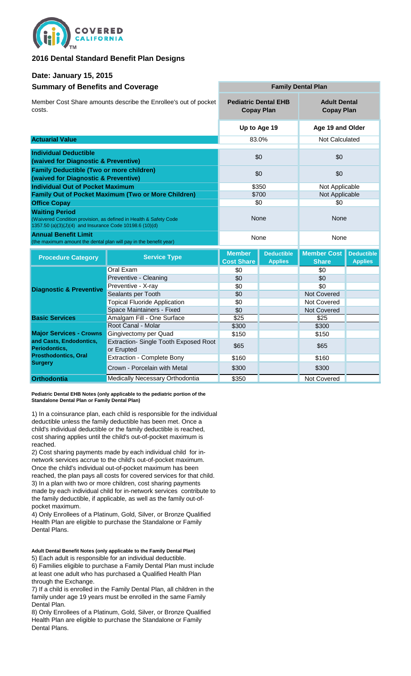

#### **2016 Dental Standard Benefit Plan Designs**

#### **Date: January 15, 2015**

| <b>Summary of Benefits and Coverage</b>                                                                                                               | <b>Family Dental Plan</b>                                  |                                                  |                                     |                                          |                                     |
|-------------------------------------------------------------------------------------------------------------------------------------------------------|------------------------------------------------------------|--------------------------------------------------|-------------------------------------|------------------------------------------|-------------------------------------|
| Member Cost Share amounts describe the Enrollee's out of pocket<br>costs.                                                                             |                                                            | <b>Pediatric Dental EHB</b><br><b>Copay Plan</b> |                                     | <b>Adult Dental</b><br><b>Copay Plan</b> |                                     |
|                                                                                                                                                       |                                                            |                                                  | Up to Age 19                        | Age 19 and Older                         |                                     |
| <b>Actuarial Value</b>                                                                                                                                |                                                            |                                                  | 83.0%                               | Not Calculated                           |                                     |
| <b>Individual Deductible</b><br>(waived for Diagnostic & Preventive)                                                                                  |                                                            |                                                  | \$0                                 | \$0                                      |                                     |
| <b>Family Deductible (Two or more children)</b><br>(waived for Diagnostic & Preventive)                                                               |                                                            |                                                  | \$0                                 | \$0                                      |                                     |
| <b>Individual Out of Pocket Maximum</b>                                                                                                               |                                                            |                                                  | \$350                               | Not Applicable                           |                                     |
|                                                                                                                                                       | <b>Family Out of Pocket Maximum (Two or More Children)</b> |                                                  | \$700                               | Not Applicable                           |                                     |
| <b>Office Copay</b>                                                                                                                                   |                                                            |                                                  | \$0                                 | \$0                                      |                                     |
| <b>Waiting Period</b><br>(Waivered Condition provision, as defined in Health & Safety Code<br>1357.50 (a)(3)(J)(4) and Insurance Code 10198.6 (10)(d) |                                                            | None                                             |                                     | None                                     |                                     |
| <b>Annual Benefit Limit</b><br>(the maximum amount the dental plan will pay in the benefit year)                                                      |                                                            |                                                  | None                                | None                                     |                                     |
| <b>Procedure Category</b>                                                                                                                             | <b>Service Type</b>                                        | <b>Member</b><br><b>Cost Share</b>               | <b>Deductible</b><br><b>Applies</b> | <b>Member Cost</b><br><b>Share</b>       | <b>Deductible</b><br><b>Applies</b> |
|                                                                                                                                                       | Oral Exam                                                  | \$0                                              |                                     | \$0                                      |                                     |
|                                                                                                                                                       | Preventive - Cleaning                                      | \$0                                              |                                     | \$0                                      |                                     |
| <b>Diagnostic &amp; Preventive</b>                                                                                                                    | Preventive - X-ray                                         | \$0                                              |                                     | \$0                                      |                                     |
|                                                                                                                                                       | Sealants per Tooth                                         | \$0                                              |                                     | <b>Not Covered</b>                       |                                     |
|                                                                                                                                                       | <b>Topical Fluoride Application</b>                        | \$0                                              |                                     | Not Covered                              |                                     |
|                                                                                                                                                       | Space Maintainers - Fixed                                  | \$0                                              |                                     | Not Covered                              |                                     |
| <b>Basic Services</b>                                                                                                                                 | Amalgam Fill - One Surface                                 | \$25                                             |                                     | \$25                                     |                                     |
|                                                                                                                                                       | Root Canal - Molar                                         | \$300                                            |                                     | \$300                                    |                                     |
| <b>Major Services - Crowns</b>                                                                                                                        | Gingivectomy per Quad                                      | \$150                                            |                                     | \$150                                    |                                     |
| and Casts, Endodontics,<br>Periodontics,                                                                                                              | Extraction- Single Tooth Exposed Root<br>or Erupted        | \$65                                             |                                     | \$65                                     |                                     |
| <b>Prosthodontics, Oral</b>                                                                                                                           | <b>Extraction - Complete Bony</b>                          | \$160                                            |                                     | \$160                                    |                                     |
| <b>Surgery</b>                                                                                                                                        | Crown - Porcelain with Metal                               | \$300                                            |                                     | \$300                                    |                                     |
| <b>Orthodontia</b>                                                                                                                                    | <b>Medically Necessary Orthodontia</b>                     | \$350                                            |                                     | Not Covered                              |                                     |

**Pediatric Dental EHB Notes (only applicable to the pediatric portion of the Standalone Dental Plan or Family Dental Plan)**

1) In a coinsurance plan, each child is responsible for the individual deductible unless the family deductible has been met. Once a child's individual deductible or the family deductible is reached, cost sharing applies until the child's out-of-pocket maximum is reached.

2) Cost sharing payments made by each individual child for innetwork services accrue to the child's out-of-pocket maximum. Once the child's individual out-of-pocket maximum has been reached, the plan pays all costs for covered services for that child. 3) In a plan with two or more children, cost sharing payments made by each individual child for in-network services contribute to the family deductible, if applicable, as well as the family out-ofpocket maximum.

4) Only Enrollees of a Platinum, Gold, Silver, or Bronze Qualified Health Plan are eligible to purchase the Standalone or Family Dental Plans.

**Adult Dental Benefit Notes (only applicable to the Family Dental Plan)** 5) Each adult is responsible for an individual deductible. 6) Families eligible to purchase a Family Dental Plan must include at least one adult who has purchased a Qualified Health Plan through the Exchange.

7) If a child is enrolled in the Family Dental Plan, all children in the family under age 19 years must be enrolled in the same Family Dental Plan.

8) Only Enrollees of a Platinum, Gold, Silver, or Bronze Qualified Health Plan are eligible to purchase the Standalone or Family Dental Plans.